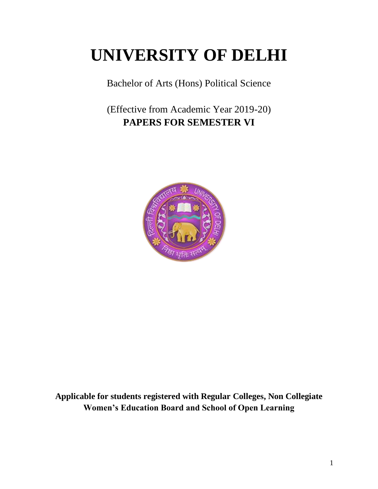# **UNIVERSITY OF DELHI**

Bachelor of Arts (Hons) Political Science

(Effective from Academic Year 2019-20) **PAPERS FOR SEMESTER VI**



**Applicable for students registered with Regular Colleges, Non Collegiate Women's Education Board and School of Open Learning**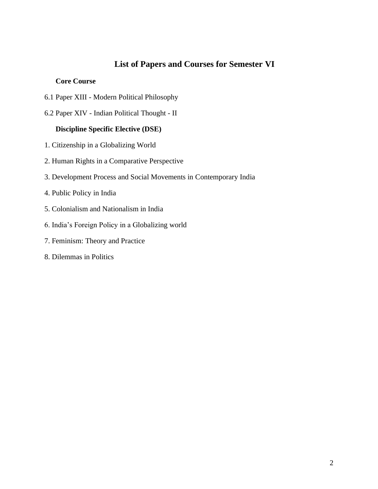# **List of Papers and Courses for Semester VI**

#### **Core Course**

- 6.1 Paper XIII Modern Political Philosophy
- 6.2 Paper XIV Indian Political Thought II

# **Discipline Specific Elective (DSE)**

- 1. Citizenship in a Globalizing World
- 2. Human Rights in a Comparative Perspective
- 3. Development Process and Social Movements in Contemporary India
- 4. Public Policy in India
- 5. Colonialism and Nationalism in India
- 6. India's Foreign Policy in a Globalizing world
- 7. Feminism: Theory and Practice
- 8. Dilemmas in Politics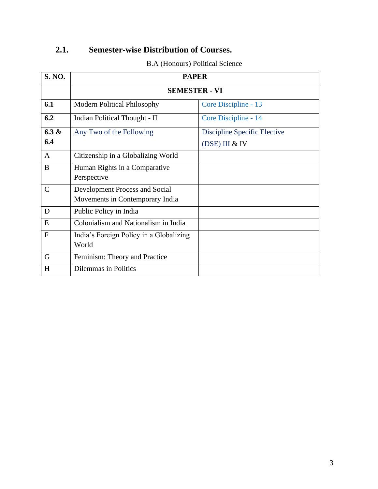# **2.1. Semester-wise Distribution of Courses.**

|  | <b>B.A (Honours) Political Science</b> |
|--|----------------------------------------|
|--|----------------------------------------|

| <b>S. NO.</b>   | <b>PAPER</b>                                                      |                                                |  |
|-----------------|-------------------------------------------------------------------|------------------------------------------------|--|
|                 | <b>SEMESTER - VI</b>                                              |                                                |  |
| 6.1             | <b>Modern Political Philosophy</b>                                | Core Discipline - 13                           |  |
| 6.2             | <b>Indian Political Thought - II</b>                              | Core Discipline - 14                           |  |
| $6.3 \&$<br>6.4 | Any Two of the Following                                          | Discipline Specific Elective<br>(DSE) III & IV |  |
| $\mathbf{A}$    | Citizenship in a Globalizing World                                |                                                |  |
| B               | Human Rights in a Comparative<br>Perspective                      |                                                |  |
| $\mathsf{C}$    | Development Process and Social<br>Movements in Contemporary India |                                                |  |
| D               | Public Policy in India                                            |                                                |  |
| E               | Colonialism and Nationalism in India                              |                                                |  |
| $\mathbf{F}$    | India's Foreign Policy in a Globalizing<br>World                  |                                                |  |
| G               | Feminism: Theory and Practice                                     |                                                |  |
| H               | <b>Dilemmas in Politics</b>                                       |                                                |  |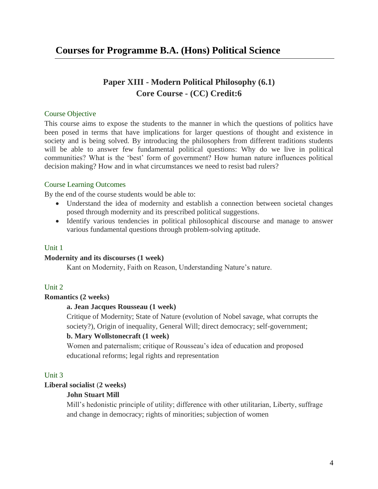# **Courses for Programme B.A. (Hons) Political Science**

# **Paper XIII - Modern Political Philosophy (6.1) Core Course - (CC) Credit:6**

#### Course Objective

This course aims to expose the students to the manner in which the questions of politics have been posed in terms that have implications for larger questions of thought and existence in society and is being solved. By introducing the philosophers from different traditions students will be able to answer few fundamental political questions: Why do we live in political communities? What is the 'best' form of government? How human nature influences political decision making? How and in what circumstances we need to resist bad rulers?

#### Course Learning Outcomes

By the end of the course students would be able to:

- Understand the idea of modernity and establish a connection between societal changes posed through modernity and its prescribed political suggestions.
- Identify various tendencies in political philosophical discourse and manage to answer various fundamental questions through problem-solving aptitude.

#### Unit 1

#### **Modernity and its discourses (1 week)**

Kant on Modernity, Faith on Reason, Understanding Nature's nature.

#### Unit 2

#### **Romantics (2 weeks)**

#### **a. Jean Jacques Rousseau (1 week)**

Critique of Modernity; State of Nature (evolution of Nobel savage, what corrupts the society?), Origin of inequality, General Will; direct democracy; self-government;

#### **b. Mary Wollstonecraft (1 week)**

Women and paternalism; critique of Rousseau's idea of education and proposed educational reforms; legal rights and representation

#### Unit 3

#### **Liberal socialist** (**2 weeks)**

#### **John Stuart Mill**

Mill's hedonistic principle of utility; difference with other utilitarian, Liberty, suffrage and change in democracy; rights of minorities; subjection of women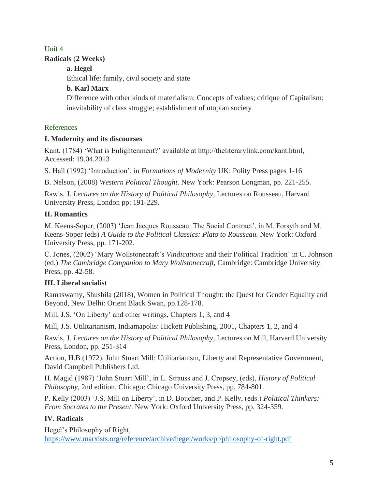# Unit 4 **Radicals** (**2 Weeks)**

**a. Hegel**

Ethical life: family, civil society and state

# **b. Karl Marx**

Difference with other kinds of materialism; Concepts of values; critique of Capitalism; inevitability of class struggle; establishment of utopian society

# References

# **I. Modernity and its discourses**

Kant. (1784) 'What is Enlightenment?' available at http://theliterarylink.com/kant.html, Accessed: 19.04.2013

S. Hall (1992) 'Introduction', in *Formations of Modernity* UK: Polity Press pages 1-16

B. Nelson, (2008) *Western Political Thought*. New York: Pearson Longman, pp. 221-255.

Rawls, J. *Lectures on the History of Political Philosophy*, Lectures on Rousseau, Harvard University Press, London pp: 191-229.

# **II. Romantics**

M. Keens-Soper, (2003) 'Jean Jacques Rousseau: The Social Contract', in M. Forsyth and M. Keens-Soper (eds) *A Guide to the Political Classics: Plato to Rousseau.* New York: Oxford University Press, pp. 171-202.

C. Jones, (2002) 'Mary Wollstonecraft's *Vindications* and their Political Tradition' in C. Johnson (ed.) *The Cambridge Companion to Mary Wollstonecraft,* Cambridge: Cambridge University Press, pp. 42-58.

# **III. Liberal socialist**

Ramaswamy, Shushila (2018), Women in Political Thought: the Quest for Gender Equality and Beyond, New Delhi: Orient Black Swan, pp.128-178.

Mill, J.S. 'On Liberty' and other writings, Chapters 1, 3, and 4

Mill, J.S. Utilitarianism, Indiamapolis: Hickett Publishing, 2001, Chapters 1, 2, and 4

Rawls, J. *Lectures on the History of Political Philosophy*, Lectures on Mill, Harvard University Press, London, pp. 251-314

Action, H.B (1972), John Stuart Mill: Utilitarianism, Liberty and Representative Government, David Campbell Publishers Ltd.

H. Magid (1987) 'John Stuart Mill', in L. Strauss and J. Cropsey, (eds), *History of Political Philosophy*, 2nd edition. Chicago: Chicago University Press, pp. 784-801.

P. Kelly (2003) 'J.S. Mill on Liberty', in D. Boucher, and P. Kelly, (eds.) *Political Thinkers: From Socrates to the Present*. New York: Oxford University Press, pp. 324-359.

# **IV. Radicals**

Hegel's Philosophy of Right, <https://www.marxists.org/reference/archive/hegel/works/pr/philosophy-of-right.pdf>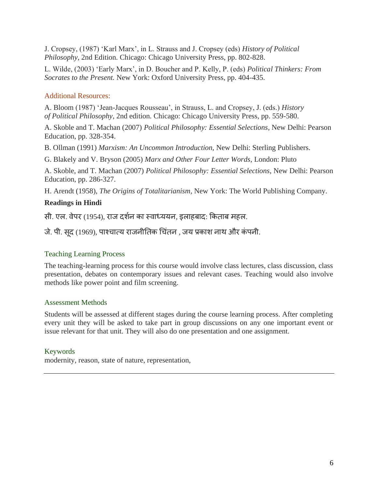J. Cropsey, (1987) 'Karl Marx', in L. Strauss and J. Cropsey (eds) *History of Political Philosophy*, 2nd Edition. Chicago: Chicago University Press, pp. 802-828.

L. Wilde, (2003) 'Early Marx', in D. Boucher and P. Kelly, P. (eds) *Political Thinkers: From Socrates to the Present.* New York: Oxford University Press, pp. 404-435.

# Additional Resources:

A. Bloom (1987) 'Jean-Jacques Rousseau', in Strauss, L. and Cropsey, J. (eds.) *History of Political Philosophy*, 2nd edition. Chicago: Chicago University Press, pp. 559-580.

A. Skoble and T. Machan (2007) *Political Philosophy: Essential Selections*, New Delhi: Pearson Education, pp. 328-354.

B. Ollman (1991) *Marxism: An Uncommon Introduction,* New Delhi: Sterling Publishers.

G. Blakely and V. Bryson (2005) *Marx and Other Four Letter Words,* London: Pluto

A. Skoble, and T. Machan (2007) *Political Philosophy: Essential Selections*, New Delhi: Pearson Education, pp. 286-327.

H. Arendt (1958), *The Origins of Totalitarianism,* New York: The World Publishing Company.

# **Readings in Hindi**

सी. एल. वेपर (1954), राज दर्शन का स्वाध्ययन, इलाहबाद: किताब महल.

जे. पी. सदू (1969), पाश्चात्य राजनीततक चचिंतन *,* जय प्रकार् नाथ और किं पनी.

# Teaching Learning Process

The teaching-learning process for this course would involve class lectures, class discussion, class presentation, debates on contemporary issues and relevant cases. Teaching would also involve methods like power point and film screening.

# Assessment Methods

Students will be assessed at different stages during the course learning process. After completing every unit they will be asked to take part in group discussions on any one important event or issue relevant for that unit. They will also do one presentation and one assignment.

# Keywords

modernity, reason, state of nature, representation,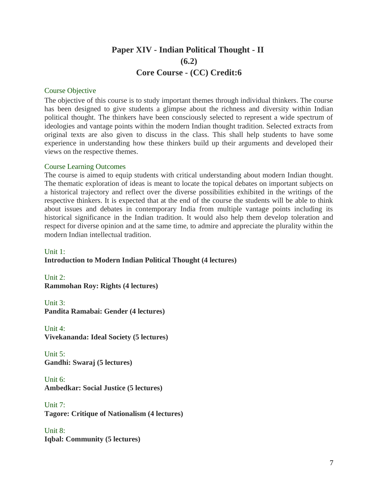# **Paper XIV - Indian Political Thought - II (6.2) Core Course - (CC) Credit:6**

#### Course Objective

The objective of this course is to study important themes through individual thinkers. The course has been designed to give students a glimpse about the richness and diversity within Indian political thought. The thinkers have been consciously selected to represent a wide spectrum of ideologies and vantage points within the modern Indian thought tradition. Selected extracts from original texts are also given to discuss in the class. This shall help students to have some experience in understanding how these thinkers build up their arguments and developed their views on the respective themes.

#### Course Learning Outcomes

The course is aimed to equip students with critical understanding about modern Indian thought. The thematic exploration of ideas is meant to locate the topical debates on important subjects on a historical trajectory and reflect over the diverse possibilities exhibited in the writings of the respective thinkers. It is expected that at the end of the course the students will be able to think about issues and debates in contemporary India from multiple vantage points including its historical significance in the Indian tradition. It would also help them develop toleration and respect for diverse opinion and at the same time, to admire and appreciate the plurality within the modern Indian intellectual tradition.

# Unit 1: **Introduction to Modern Indian Political Thought (4 lectures)**

Unit 2: **Rammohan Roy: Rights (4 lectures)**

Unit 3: **Pandita Ramabai: Gender (4 lectures)**

Unit 4: **Vivekananda: Ideal Society (5 lectures)**

Unit 5: **Gandhi: Swaraj (5 lectures)**

Unit 6: **Ambedkar: Social Justice (5 lectures)**

Unit 7: **Tagore: Critique of Nationalism (4 lectures)**

Unit 8: **Iqbal: Community (5 lectures)**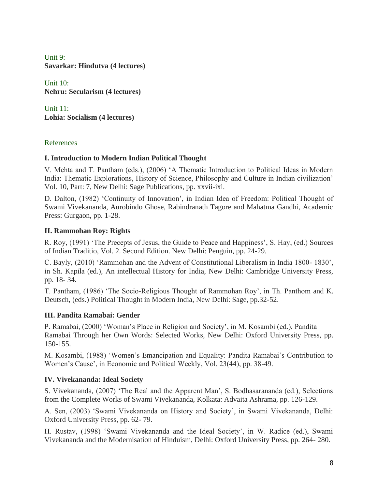Unit 9: **Savarkar: Hindutva (4 lectures)**

Unit 10: **Nehru: Secularism (4 lectures)**

Unit 11: **Lohia: Socialism (4 lectures)**

# References

# **I. Introduction to Modern Indian Political Thought**

V. Mehta and T. Pantham (eds.), (2006) 'A Thematic Introduction to Political Ideas in Modern India: Thematic Explorations, History of Science, Philosophy and Culture in Indian civilization' Vol. 10, Part: 7, New Delhi: Sage Publications, pp. xxvii-ixi.

D. Dalton, (1982) 'Continuity of Innovation', in Indian Idea of Freedom: Political Thought of Swami Vivekananda, Aurobindo Ghose, Rabindranath Tagore and Mahatma Gandhi, Academic Press: Gurgaon, pp. 1-28.

# **II. Rammohan Roy: Rights**

R. Roy, (1991) 'The Precepts of Jesus, the Guide to Peace and Happiness', S. Hay, (ed.) Sources of Indian Traditio, Vol. 2. Second Edition. New Delhi: Penguin, pp. 24-29.

C. Bayly, (2010) 'Rammohan and the Advent of Constitutional Liberalism in India 1800- 1830', in Sh. Kapila (ed.), An intellectual History for India, New Delhi: Cambridge University Press, pp. 18- 34.

T. Pantham, (1986) 'The Socio-Religious Thought of Rammohan Roy', in Th. Panthom and K. Deutsch, (eds.) Political Thought in Modern India, New Delhi: Sage, pp.32-52.

# **III. Pandita Ramabai: Gender**

P. Ramabai, (2000) 'Woman's Place in Religion and Society', in M. Kosambi (ed.), Pandita Ramabai Through her Own Words: Selected Works, New Delhi: Oxford University Press, pp. 150-155.

M. Kosambi, (1988) 'Women's Emancipation and Equality: Pandita Ramabai's Contribution to Women's Cause', in Economic and Political Weekly, Vol. 23(44), pp. 38-49.

# **IV. Vivekananda: Ideal Society**

S. Vivekananda, (2007) 'The Real and the Apparent Man', S. Bodhasarananda (ed.), Selections from the Complete Works of Swami Vivekananda, Kolkata: Advaita Ashrama, pp. 126-129.

A. Sen, (2003) 'Swami Vivekananda on History and Society', in Swami Vivekananda, Delhi: Oxford University Press, pp. 62- 79.

H. Rustav, (1998) 'Swami Vivekananda and the Ideal Society', in W. Radice (ed.), Swami Vivekananda and the Modernisation of Hinduism, Delhi: Oxford University Press, pp. 264- 280.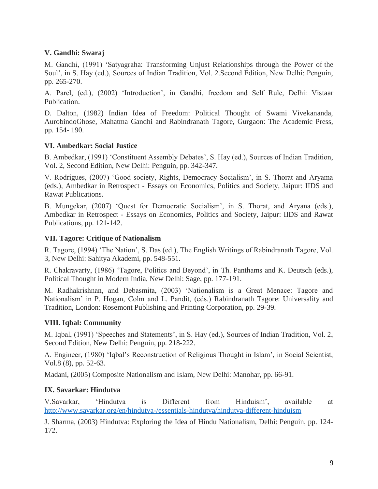# **V. Gandhi: Swaraj**

M. Gandhi, (1991) 'Satyagraha: Transforming Unjust Relationships through the Power of the Soul', in S. Hay (ed.), Sources of Indian Tradition, Vol. 2.Second Edition, New Delhi: Penguin, pp. 265-270.

A. Parel, (ed.), (2002) 'Introduction', in Gandhi, freedom and Self Rule, Delhi: Vistaar Publication.

D. Dalton, (1982) Indian Idea of Freedom: Political Thought of Swami Vivekananda, AurobindoGhose, Mahatma Gandhi and Rabindranath Tagore, Gurgaon: The Academic Press, pp. 154- 190.

# **VI. Ambedkar: Social Justice**

B. Ambedkar, (1991) 'Constituent Assembly Debates', S. Hay (ed.), Sources of Indian Tradition, Vol. 2, Second Edition, New Delhi: Penguin, pp. 342-347.

V. Rodrigues, (2007) 'Good society, Rights, Democracy Socialism', in S. Thorat and Aryama (eds.), Ambedkar in Retrospect - Essays on Economics, Politics and Society, Jaipur: IIDS and Rawat Publications.

B. Mungekar, (2007) 'Quest for Democratic Socialism', in S. Thorat, and Aryana (eds.), Ambedkar in Retrospect - Essays on Economics, Politics and Society, Jaipur: IIDS and Rawat Publications, pp. 121-142.

# **VII. Tagore: Critique of Nationalism**

R. Tagore, (1994) 'The Nation', S. Das (ed.), The English Writings of Rabindranath Tagore, Vol. 3, New Delhi: Sahitya Akademi, pp. 548-551.

R. Chakravarty, (1986) 'Tagore, Politics and Beyond', in Th. Panthams and K. Deutsch (eds.), Political Thought in Modern India, New Delhi: Sage, pp. 177-191.

M. Radhakrishnan, and Debasmita, (2003) 'Nationalism is a Great Menace: Tagore and Nationalism' in P. Hogan, Colm and L. Pandit, (eds.) Rabindranath Tagore: Universality and Tradition, London: Rosemont Publishing and Printing Corporation, pp. 29-39.

# **VIII. Iqbal: Community**

M. Iqbal, (1991) 'Speeches and Statements', in S. Hay (ed.), Sources of Indian Tradition, Vol. 2, Second Edition, New Delhi: Penguin, pp. 218-222.

A. Engineer, (1980) 'Iqbal's Reconstruction of Religious Thought in Islam', in Social Scientist, Vol.8 (8), pp. 52-63.

Madani, (2005) Composite Nationalism and Islam, New Delhi: Manohar, pp. 66-91.

# **IX. Savarkar: Hindutva**

V.Savarkar, 'Hindutva is Different from Hinduism', available at <http://www.savarkar.org/en/hindutva-/essentials-hindutva/hindutva-different-hinduism>

J. Sharma, (2003) Hindutva: Exploring the Idea of Hindu Nationalism, Delhi: Penguin, pp. 124- 172.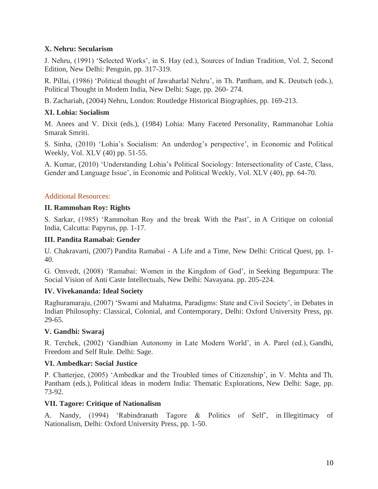#### **X. Nehru: Secularism**

J. Nehru, (1991) 'Selected Works', in S. Hay (ed.), Sources of Indian Tradition, Vol. 2, Second Edition, New Delhi: Penguin, pp. 317-319.

R. Pillai, (1986) 'Political thought of Jawaharlal Nehru', in Th. Pantham, and K. Deutsch (eds.), Political Thought in Modem India, New Delhi: Sage, pp. 260- 274.

B. Zachariah, (2004) Nehru, London: Routledge Historical Biographies, pp. 169-213.

# **XI. Lohia: Socialism**

M. Anees and V. Dixit (eds.), (1984) Lohia: Many Faceted Personality, Rammanohar Lohia Smarak Smriti.

S. Sinha, (2010) 'Lohia's Socialism: An underdog's perspective', in Economic and Political Weekly, Vol. XLV (40) pp. 51-55.

A. Kumar, (2010) 'Understanding Lohia's Political Sociology: Intersectionality of Caste, Class, Gender and Language Issue', in Economic and Political Weekly, Vol. XLV (40), pp. 64-70.

#### Additional Resources:

#### **II. Rammohan Roy: Rights**

S. Sarkar, (1985) 'Rammohan Roy and the break With the Past', in A Critique on colonial India, Calcutta: Papyrus, pp. 1-17.

#### **III. Pandita Ramabai: Gender**

U. Chakravarti, (2007) Pandita Ramabai - A Life and a Time, New Delhi: Critical Quest, pp. 1- 40.

G. Omvedt, (2008) 'Ramabai: Women in the Kingdom of God', in Seeking Begumpura: The Social Vision of Anti Caste Intellectuals, New Delhi: Navayana. pp. 205-224.

#### **IV. Vivekananda: Ideal Society**

Raghuramaraju, (2007) 'Swami and Mahatma, Paradigms: State and Civil Society', in Debates in Indian Philosophy: Classical, Colonial, and Contemporary, Delhi: Oxford University Press, pp. 29-65.

#### **V. Gandhi: Swaraj**

R. Terchek, (2002) 'Gandhian Autonomy in Late Modern World', in A. Parel (ed.), Gandhi, Freedom and Self Rule. Delhi: Sage.

#### **VI. Ambedkar: Social Justice**

P. Chatterjee, (2005) 'Ambedkar and the Troubled times of Citizenship', in V. Mehta and Th. Pantham (eds.), Political ideas in modern India: Thematic Explorations, New Delhi: Sage, pp. 73-92.

#### **VII. Tagore: Critique of Nationalism**

A. Nandy, (1994) 'Rabindranath Tagore & Politics of Self', in Illegitimacy of Nationalism, Delhi: Oxford University Press, pp. 1-50.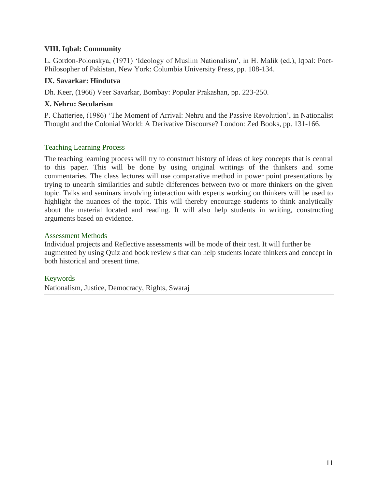#### **VIII. Iqbal: Community**

L. Gordon-Polonskya, (1971) 'Ideology of Muslim Nationalism', in H. Malik (ed.), Iqbal: Poet-Philosopher of Pakistan, New York: Columbia University Press, pp. 108-134.

#### **IX. Savarkar: Hindutva**

Dh. Keer, (1966) Veer Savarkar, Bombay: Popular Prakashan, pp. 223-250.

#### **X. Nehru: Secularism**

P. Chatterjee, (1986) 'The Moment of Arrival: Nehru and the Passive Revolution', in Nationalist Thought and the Colonial World: A Derivative Discourse? London: Zed Books, pp. 131-166.

# Teaching Learning Process

The teaching learning process will try to construct history of ideas of key concepts that is central to this paper. This will be done by using original writings of the thinkers and some commentaries. The class lectures will use comparative method in power point presentations by trying to unearth similarities and subtle differences between two or more thinkers on the given topic. Talks and seminars involving interaction with experts working on thinkers will be used to highlight the nuances of the topic. This will thereby encourage students to think analytically about the material located and reading. It will also help students in writing, constructing arguments based on evidence.

#### Assessment Methods

Individual projects and Reflective assessments will be mode of their test. It will further be augmented by using Quiz and book review s that can help students locate thinkers and concept in both historical and present time.

# Keywords

Nationalism, Justice, Democracy, Rights, Swaraj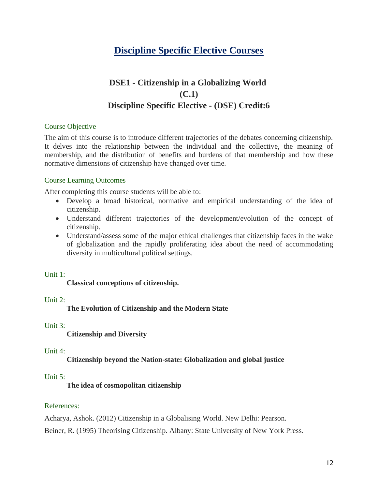# **Discipline Specific Elective Courses**

# **DSE1 - Citizenship in a Globalizing World (C.1) Discipline Specific Elective - (DSE) Credit:6**

# Course Objective

The aim of this course is to introduce different trajectories of the debates concerning citizenship. It delves into the relationship between the individual and the collective, the meaning of membership, and the distribution of benefits and burdens of that membership and how these normative dimensions of citizenship have changed over time.

# Course Learning Outcomes

After completing this course students will be able to:

- Develop a broad historical, normative and empirical understanding of the idea of citizenship.
- Understand different trajectories of the development/evolution of the concept of citizenship.
- Understand/assess some of the major ethical challenges that citizenship faces in the wake of globalization and the rapidly proliferating idea about the need of accommodating diversity in multicultural political settings.

# Unit 1:

# **Classical conceptions of citizenship.**

# Unit 2:

**The Evolution of Citizenship and the Modern State**

# Unit 3:

**Citizenship and Diversity**

# Unit 4:

# **Citizenship beyond the Nation-state: Globalization and global justice**

# Unit 5:

**The idea of cosmopolitan citizenship**

# References:

Acharya, Ashok. (2012) Citizenship in a Globalising World. New Delhi: Pearson.

Beiner, R. (1995) Theorising Citizenship. Albany: State University of New York Press.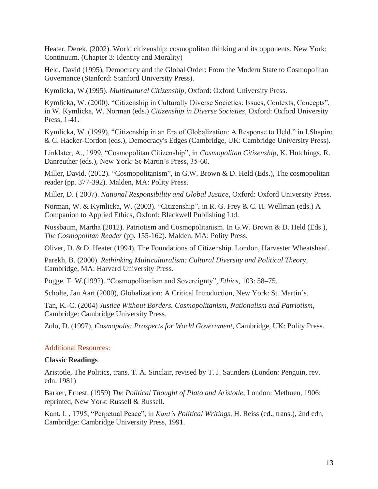Heater, Derek. (2002). World citizenship: cosmopolitan thinking and its opponents. New York: Continuum. (Chapter 3: Identity and Morality)

Held, David (1995), Democracy and the Global Order: From the Modern State to Cosmopolitan Governance (Stanford: Stanford University Press).

Kymlicka, W.(1995). *Multicultural Citizenship*, Oxford: Oxford University Press.

Kymlicka, W. (2000). "Citizenship in Culturally Diverse Societies: Issues, Contexts, Concepts", in W. Kymlicka, W. Norman (eds.) *Citizenship in Diverse Societies*, Oxford: Oxford University Press, 1-41.

Kymlicka, W. (1999), "Citizenship in an Era of Globalization: A Response to Held," in I.Shapiro & C. Hacker-Cordon (eds.), Democracy's Edges (Cambridge, UK: Cambridge University Press).

Linklater, A., 1999, "Cosmopolitan Citizenship", in *Cosmopolitan Citizenship*, K. Hutchings, R. Danreuther (eds.), New York: St-Martin's Press, 35-60.

Miller, David. (2012). "Cosmopolitanism", in G.W. Brown & D. Held (Eds.), The cosmopolitan reader (pp. 377-392). Malden, MA: Polity Press.

Miller, D. ( 2007). *National Responsibility and Global Justice*, Oxford: Oxford University Press.

Norman, W. & Kymlicka, W. (2003). "Citizenship", in R. G. Frey & C. H. Wellman (eds.) A Companion to Applied Ethics, Oxford: Blackwell Publishing Ltd.

Nussbaum, Martha (2012). Patriotism and Cosmopolitanism. In G.W. Brown & D. Held (Eds.), *The Cosmopolitan Reader* (pp. 155-162). Malden, MA: Polity Press.

Oliver, D. & D. Heater (1994). The Foundations of Citizenship. London, Harvester Wheatsheaf.

Parekh, B. (2000). *Rethinking Multiculturalism: Cultural Diversity and Political Theory*, Cambridge, MA: Harvard University Press.

Pogge, T. W.(1992). "Cosmopolitanism and Sovereignty", *Ethics*, 103: 58–75.

Scholte, Jan Aart (2000), Globalization: A Critical Introduction, New York: St. Martin's.

Tan, K.-C. (2004) *Justice Without Borders. Cosmopolitanism, Nationalism and Patriotism*, Cambridge: Cambridge University Press.

Zolo, D. (1997), *Cosmopolis: Prospects for World Government*, Cambridge, UK: Polity Press.

#### Additional Resources:

#### **Classic Readings**

Aristotle, The Politics, trans. T. A. Sinclair, revised by T. J. Saunders (London: Penguin, rev. edn. 1981)

Barker, Ernest. (1959) *The Political Thought of Plato and Aristotle*, London: Methuen, 1906; reprinted, New York: Russell & Russell.

Kant, I. , 1795, "Perpetual Peace", in *Kant's Political Writings*, H. Reiss (ed., trans.), 2nd edn, Cambridge: Cambridge University Press, 1991.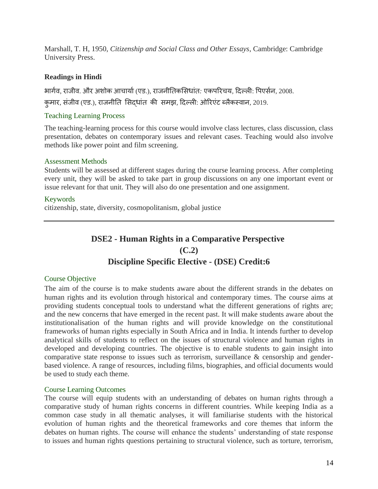Marshall, T. H, 1950, *Citizenship and Social Class and Other Essays*, Cambridge: Cambridge University Press.

#### **Readings in Hindi**

भार्शव, राजीव. और अर्ोक आचायाश(एड.), राजनीततकससधािंत*:* एकपररचय*,* ददल्ली: पपएसशन, 2008.

कुमार, सिंजीव (एड.), राजनीतत ससदधािंत की समझ*,* ददल्ली: ओररएिंट ब्लैकस्वान, 2019.

# Teaching Learning Process

The teaching-learning process for this course would involve class lectures, class discussion, class presentation, debates on contemporary issues and relevant cases. Teaching would also involve methods like power point and film screening.

#### Assessment Methods

Students will be assessed at different stages during the course learning process. After completing every unit, they will be asked to take part in group discussions on any one important event or issue relevant for that unit. They will also do one presentation and one assignment.

#### Keywords

citizenship, state, diversity, cosmopolitanism, global justice

# **DSE2 - Human Rights in a Comparative Perspective (C.2) Discipline Specific Elective - (DSE) Credit:6**

#### Course Objective

The aim of the course is to make students aware about the different strands in the debates on human rights and its evolution through historical and contemporary times. The course aims at providing students conceptual tools to understand what the different generations of rights are; and the new concerns that have emerged in the recent past. It will make students aware about the institutionalisation of the human rights and will provide knowledge on the constitutional frameworks of human rights especially in South Africa and in India. It intends further to develop analytical skills of students to reflect on the issues of structural violence and human rights in developed and developing countries. The objective is to enable students to gain insight into comparative state response to issues such as terrorism, surveillance  $\&$  censorship and genderbased violence. A range of resources, including films, biographies, and official documents would be used to study each theme.

#### Course Learning Outcomes

The course will equip students with an understanding of debates on human rights through a comparative study of human rights concerns in different countries. While keeping India as a common case study in all thematic analyses, it will familiarise students with the historical evolution of human rights and the theoretical frameworks and core themes that inform the debates on human rights. The course will enhance the students' understanding of state response to issues and human rights questions pertaining to structural violence, such as torture, terrorism,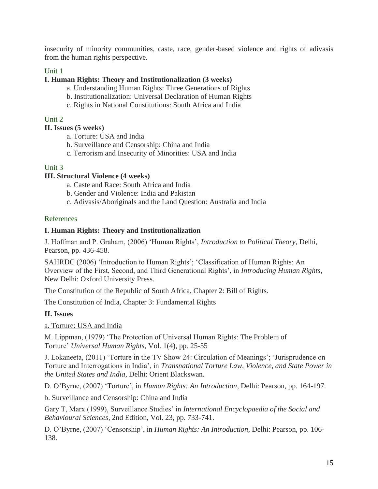insecurity of minority communities, caste, race, gender-based violence and rights of adivasis from the human rights perspective.

# Unit 1

#### **I. Human Rights: Theory and Institutionalization (3 weeks)**

- a. Understanding Human Rights: Three Generations of Rights
- b. Institutionalization: Universal Declaration of Human Rights
- c. Rights in National Constitutions: South Africa and India

#### Unit 2

#### **II. Issues (5 weeks)**

- a. Torture: USA and India
- b. Surveillance and Censorship: China and India
- c. Terrorism and Insecurity of Minorities: USA and India

#### Unit 3

#### **III. Structural Violence (4 weeks)**

- a. Caste and Race: South Africa and India
- b. Gender and Violence: India and Pakistan
- c. Adivasis/Aboriginals and the Land Question: Australia and India

#### References

#### **I. Human Rights: Theory and Institutionalization**

J. Hoffman and P. Graham, (2006) 'Human Rights', *Introduction to Political Theory*, Delhi, Pearson, pp. 436-458.

SAHRDC (2006) 'Introduction to Human Rights'; 'Classification of Human Rights: An Overview of the First, Second, and Third Generational Rights', in *Introducing Human Rights*, New Delhi: Oxford University Press.

The Constitution of the Republic of South Africa, Chapter 2: Bill of Rights.

The Constitution of India, Chapter 3: Fundamental Rights

# **II. Issues**

#### a. Torture: USA and India

M. Lippman, (1979) 'The Protection of Universal Human Rights: The Problem of Torture' *Universal Human Rights*, Vol. 1(4), pp. 25-55

J. Lokaneeta, (2011) 'Torture in the TV Show 24: Circulation of Meanings'; 'Jurisprudence on Torture and Interrogations in India', in *Transnational Torture Law, Violence, and State Power in the United States and India*, Delhi: Orient Blackswan.

D. O'Byrne, (2007) 'Torture', in *Human Rights: An Introduction*, Delhi: Pearson, pp. 164-197.

b. Surveillance and Censorship: China and India

Gary T, Marx (1999), Surveillance Studies' in *International Encyclopaedia of the Social and Behavioural Sciences*, 2nd Edition, Vol. 23, pp. 733-741.

D. O'Byrne, (2007) 'Censorship', in *Human Rights: An Introduction*, Delhi: Pearson, pp. 106- 138.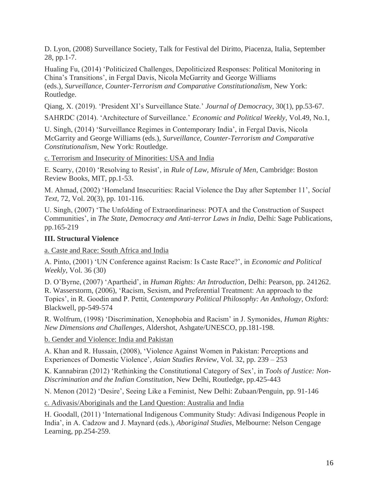D. Lyon, (2008) Surveillance Society, Talk for Festival del Diritto, Piacenza, Italia, September 28, pp.1-7.

Hualing Fu, (2014) 'Politicized Challenges, Depoliticized Responses: Political Monitoring in China's Transitions', in Fergal Davis, Nicola McGarrity and George Williams (eds.), *Surveillance, Counter-Terrorism and Comparative Constitutionalism*, New York: Routledge.

Qiang, X. (2019). 'President XI's Surveillance State.' *Journal of Democracy*, 30(1), pp.53-67.

SAHRDC (2014). 'Architecture of Surveillance.' *Economic and Political Weekly*, Vol.49, No.1,

U. Singh, (2014) 'Surveillance Regimes in Contemporary India', in Fergal Davis, Nicola McGarrity and George Williams (eds.), *Surveillance, Counter-Terrorism and Comparative Constitutionalism*, New York: Routledge.

c. Terrorism and Insecurity of Minorities: USA and India

E. Scarry, (2010) 'Resolving to Resist', in *Rule of Law, Misrule of Men*, Cambridge: Boston Review Books, MIT, pp.1-53.

M. Ahmad, (2002) 'Homeland Insecurities: Racial Violence the Day after September 11', *Social Text*, 72, Vol. 20(3), pp. 101-116.

U. Singh, (2007) 'The Unfolding of Extraordinariness: POTA and the Construction of Suspect Communities', in *The State, Democracy and Anti-terror Laws in India*, Delhi: Sage Publications, pp.165-219

# **III. Structural Violence**

a. Caste and Race: South Africa and India

A. Pinto, (2001) 'UN Conference against Racism: Is Caste Race?', in *Economic and Political Weekly*, Vol. 36 (30)

D. O'Byrne, (2007) 'Apartheid', in *Human Rights: An Introduction*, Delhi: Pearson, pp. 241262. R. Wasserstorm, (2006), 'Racism, Sexism, and Preferential Treatment: An approach to the Topics', in R. Goodin and P. Pettit, *Contemporary Political Philosophy: An Anthology*, Oxford: Blackwell, pp-549-574

R. Wolfrum, (1998) 'Discrimination, Xenophobia and Racism' in J. Symonides, *Human Rights: New Dimensions and Challenges*, Aldershot, Ashgate/UNESCO, pp.181-198.

b. Gender and Violence: India and Pakistan

A. Khan and R. Hussain, (2008), 'Violence Against Women in Pakistan: Perceptions and Experiences of Domestic Violence', *Asian Studies Review*, Vol. 32, pp. 239 – 253

K. Kannabiran (2012) 'Rethinking the Constitutional Category of Sex', in *Tools of Justice: Non-Discrimination and the Indian Constitution*, New Delhi, Routledge, pp.425-443

N. Menon (2012) 'Desire', Seeing Like a Feminist, New Delhi: Zubaan/Penguin, pp. 91-146

c. Adivasis/Aboriginals and the Land Question: Australia and India

H. Goodall, (2011) 'International Indigenous Community Study: Adivasi Indigenous People in India', in A. Cadzow and J. Maynard (eds.), *Aboriginal Studies*, Melbourne: Nelson Cengage Learning, pp.254-259.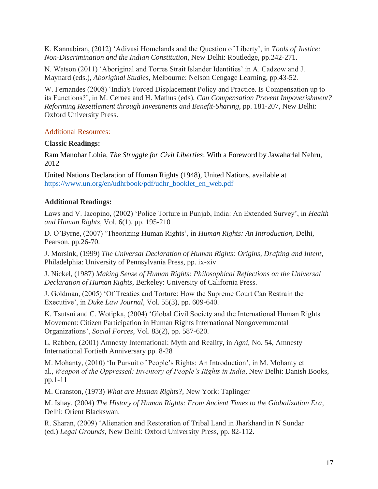K. Kannabiran, (2012) 'Adivasi Homelands and the Question of Liberty', in *Tools of Justice: Non-Discrimination and the Indian Constitution*, New Delhi: Routledge, pp.242-271.

N. Watson (2011) 'Aboriginal and Torres Strait Islander Identities' in A. Cadzow and J. Maynard (eds.), *Aboriginal Studies*, Melbourne: Nelson Cengage Learning, pp.43-52.

W. Fernandes (2008) 'India's Forced Displacement Policy and Practice. Is Compensation up to its Functions?', in M. Cernea and H. Mathus (eds), *Can Compensation Prevent Impoverishment? Reforming Resettlement through Investments and Benefit-Sharing*, pp. 181-207, New Delhi: Oxford University Press.

#### Additional Resources:

#### **Classic Readings:**

Ram Manohar Lohia, *The Struggle for Civil Liberties*: With a Foreword by Jawaharlal Nehru, 2012

United Nations Declaration of Human Rights (1948), United Nations, available at [https://www.un.org/en/udhrbook/pdf/udhr\\_booklet\\_en\\_web.pdf](https://www.un.org/en/udhrbook/pdf/udhr_booklet_en_web.pdf)

# **Additional Readings:**

Laws and V. Iacopino, (2002) 'Police Torture in Punjab, India: An Extended Survey', in *Health and Human Rights*, Vol. 6(1), pp. 195-210

D. O'Byrne, (2007) 'Theorizing Human Rights', in *Human Rights: An Introduction*, Delhi, Pearson, pp.26-70.

J. Morsink, (1999) *The Universal Declaration of Human Rights: Origins, Drafting and Intent*, Philadelphia: University of Pennsylvania Press, pp. ix-xiv

J. Nickel, (1987) *Making Sense of Human Rights: Philosophical Reflections on the Universal Declaration of Human Rights*, Berkeley: University of California Press.

J. Goldman, (2005) 'Of Treaties and Torture: How the Supreme Court Can Restrain the Executive', in *Duke Law Journal*, Vol. 55(3), pp. 609-640.

K. Tsutsui and C. Wotipka, (2004) 'Global Civil Society and the International Human Rights Movement: Citizen Participation in Human Rights International Nongovernmental Organizations', *Social Forces*, Vol. 83(2), pp. 587-620.

L. Rabben, (2001) Amnesty International: Myth and Reality, in *Agni*, No. 54, Amnesty International Fortieth Anniversary pp. 8-28

M. Mohanty, (2010) 'In Pursuit of People's Rights: An Introduction', in M. Mohanty et al., *Weapon of the Oppressed: Inventory of People's Rights in India*, New Delhi: Danish Books, pp.1-11

M. Cranston, (1973) *What are Human Rights?,* New York: Taplinger

M. Ishay, (2004) *The History of Human Rights: From Ancient Times to the Globalization Era*, Delhi: Orient Blackswan.

R. Sharan, (2009) 'Alienation and Restoration of Tribal Land in Jharkhand in N Sundar (ed.) *Legal Grounds*, New Delhi: Oxford University Press, pp. 82-112.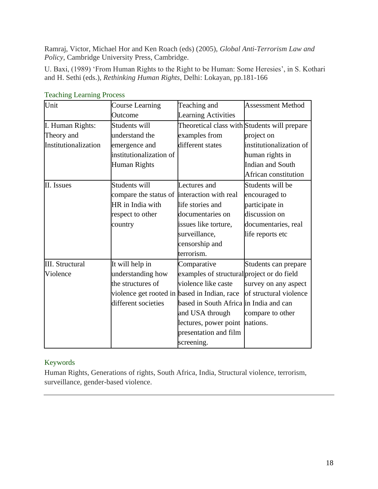Ramraj, Victor, Michael Hor and Ken Roach (eds) (2005), *Global Anti-Terrorism Law and Policy*, Cambridge University Press, Cambridge.

U. Baxi, (1989) 'From Human Rights to the Right to be Human: Some Heresies', in S. Kothari and H. Sethi (eds.), *Rethinking Human Rights*, Delhi: Lokayan, pp.181-166

| Unit                   | <b>Course Learning</b>                       | Teaching and                                 | <b>Assessment Method</b> |
|------------------------|----------------------------------------------|----------------------------------------------|--------------------------|
|                        | Outcome                                      | <b>Learning Activities</b>                   |                          |
| I. Human Rights:       | Students will                                | Theoretical class with Students will prepare |                          |
| Theory and             | understand the                               | examples from                                | project on               |
| Institutionalization   | emergence and                                | different states                             | institutionalization of  |
|                        | institutionalization of                      |                                              | human rights in          |
|                        | <b>Human Rights</b>                          |                                              | <b>Indian and South</b>  |
|                        |                                              |                                              | African constitution     |
| II. Issues             | Students will                                | Lectures and                                 | Students will be         |
|                        | compare the status of interaction with real  |                                              | encouraged to            |
|                        | HR in India with                             | life stories and                             | participate in           |
|                        | respect to other                             | documentaries on                             | discussion on            |
|                        | country                                      | issues like torture,                         | documentaries, real      |
|                        |                                              | surveillance,                                | life reports etc         |
|                        |                                              | censorship and                               |                          |
|                        |                                              | terrorism.                                   |                          |
| <b>III.</b> Structural | It will help in                              | Comparative                                  | Students can prepare     |
| Violence               | understanding how                            | examples of structural project or do field   |                          |
|                        | the structures of                            | violence like caste                          | survey on any aspect     |
|                        | violence get rooted in based in Indian, race |                                              | of structural violence   |
|                        | different societies                          | based in South Africa in India and can       |                          |
|                        |                                              | and USA through                              | compare to other         |
|                        |                                              | lectures, power point nations.               |                          |
|                        |                                              | presentation and film                        |                          |
|                        |                                              | screening.                                   |                          |

Teaching Learning Process

# Keywords

Human Rights, Generations of rights, South Africa, India, Structural violence, terrorism, surveillance, gender-based violence.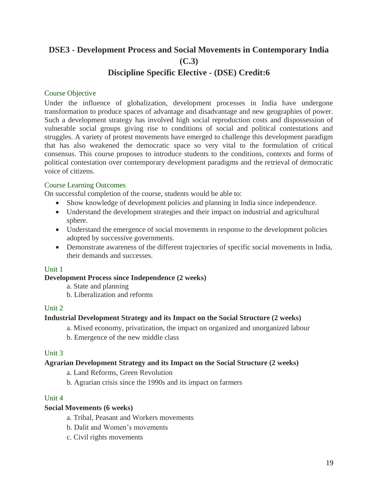# **DSE3 - Development Process and Social Movements in Contemporary India (C.3) Discipline Specific Elective - (DSE) Credit:6**

#### Course Objective

Under the influence of globalization, development processes in India have undergone transformation to produce spaces of advantage and disadvantage and new geographies of power. Such a development strategy has involved high social reproduction costs and dispossession of vulnerable social groups giving rise to conditions of social and political contestations and struggles. A variety of protest movements have emerged to challenge this development paradigm that has also weakened the democratic space so very vital to the formulation of critical consensus. This course proposes to introduce students to the conditions, contexts and forms of political contestation over contemporary development paradigms and the retrieval of democratic voice of citizens.

#### Course Learning Outcomes

On successful completion of the course, students would be able to:

- Show knowledge of development policies and planning in India since independence.
- Understand the development strategies and their impact on industrial and agricultural sphere.
- Understand the emergence of social movements in response to the development policies adopted by successive governments.
- Demonstrate awareness of the different trajectories of specific social movements in India, their demands and successes.

#### Unit 1

#### **Development Process since Independence (2 weeks)**

- a. State and planning
- b. Liberalization and reforms

#### Unit 2

#### **Industrial Development Strategy and its Impact on the Social Structure (2 weeks)**

a. Mixed economy, privatization, the impact on organized and unorganized labour

b. Emergence of the new middle class

#### Unit 3

#### **Agrarian Development Strategy and its Impact on the Social Structure (2 weeks)**

- a. Land Reforms, Green Revolution
- b. Agrarian crisis since the 1990s and its impact on farmers

#### Unit 4

#### **Social Movements (6 weeks)**

- a. Tribal, Peasant and Workers movements
- b. Dalit and Women's movements
- c. Civil rights movements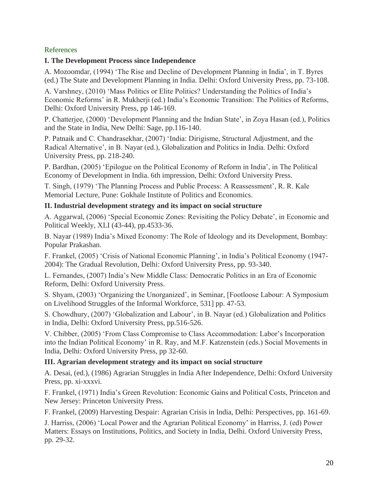# References

# **I. The Development Process since Independence**

A. Mozoomdar, (1994) 'The Rise and Decline of Development Planning in India', in T. Byres (ed.) The State and Development Planning in India. Delhi: Oxford University Press, pp. 73-108.

A. Varshney, (2010) 'Mass Politics or Elite Politics? Understanding the Politics of India's Economic Reforms' in R. Mukherji (ed.) India's Economic Transition: The Politics of Reforms, Delhi: Oxford University Press, pp 146-169.

P. Chatterjee, (2000) 'Development Planning and the Indian State', in Zoya Hasan (ed.), Politics and the State in India, New Delhi: Sage, pp.116-140.

P. Patnaik and C. Chandrasekhar, (2007) 'India: Dirigisme, Structural Adjustment, and the Radical Alternative', in B. Nayar (ed.), Globalization and Politics in India. Delhi: Oxford University Press, pp. 218-240.

P. Bardhan, (2005) 'Epilogue on the Political Economy of Reform in India', in The Political Economy of Development in India. 6th impression, Delhi: Oxford University Press.

T. Singh, (1979) 'The Planning Process and Public Process: A Reassessment', R. R. Kale Memorial Lecture, Pune: Gokhale Institute of Politics and Economics.

# **II. Industrial development strategy and its impact on social structure**

A. Aggarwal, (2006) 'Special Economic Zones: Revisiting the Policy Debate', in Economic and Political Weekly, XLI (43-44), pp.4533-36.

B. Nayar (1989) India's Mixed Economy: The Role of Ideology and its Development, Bombay: Popular Prakashan.

F. Frankel, (2005) 'Crisis of National Economic Planning', in India's Political Economy (1947- 2004): The Gradual Revolution, Delhi: Oxford University Press, pp. 93-340.

L. Fernandes, (2007) India's New Middle Class: Democratic Politics in an Era of Economic Reform, Delhi: Oxford University Press.

S. Shyam, (2003) 'Organizing the Unorganized', in Seminar, [Footloose Labour: A Symposium on Livelihood Struggles of the Informal Workforce, 531] pp. 47-53.

S. Chowdhury, (2007) 'Globalization and Labour', in B. Nayar (ed.) Globalization and Politics in India, Delhi: Oxford University Press, pp.516-526.

V. Chibber, (2005) 'From Class Compromise to Class Accommodation: Labor's Incorporation into the Indian Political Economy' in R. Ray, and M.F. Katzenstein (eds.) Social Movements in India, Delhi: Oxford University Press, pp 32-60.

# **III. Agrarian development strategy and its impact on social structure**

A. Desai, (ed.), (1986) Agrarian Struggles in India After Independence, Delhi: Oxford University Press, pp. xi-xxxvi.

F. Frankel, (1971) India's Green Revolution: Economic Gains and Political Costs, Princeton and New Jersey: Princeton University Press.

F. Frankel, (2009) Harvesting Despair: Agrarian Crisis in India, Delhi: Perspectives, pp. 161-69.

J. Harriss, (2006) 'Local Power and the Agrarian Political Economy' in Harriss, J. (ed) Power Matters: Essays on Institutions, Politics, and Society in India, Delhi. Oxford University Press, pp. 29-32.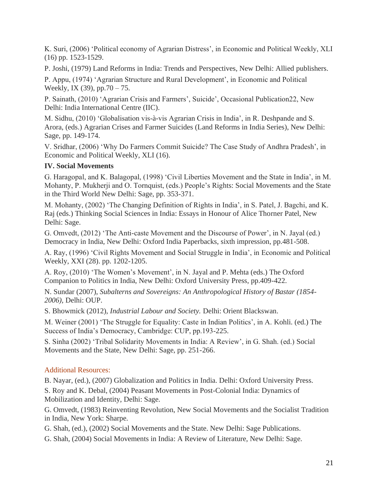K. Suri, (2006) 'Political economy of Agrarian Distress', in Economic and Political Weekly, XLI (16) pp. 1523-1529.

P. Joshi, (1979) Land Reforms in India: Trends and Perspectives, New Delhi: Allied publishers.

P. Appu, (1974) 'Agrarian Structure and Rural Development', in Economic and Political Weekly, IX (39),  $pp.70 - 75$ .

P. Sainath, (2010) 'Agrarian Crisis and Farmers', Suicide', Occasional Publication22, New Delhi: India International Centre (IIC).

M. Sidhu, (2010) 'Globalisation vis-à-vis Agrarian Crisis in India', in R. Deshpande and S. Arora, (eds.) Agrarian Crises and Farmer Suicides (Land Reforms in India Series), New Delhi: Sage, pp. 149-174.

V. Sridhar, (2006) 'Why Do Farmers Commit Suicide? The Case Study of Andhra Pradesh', in Economic and Political Weekly, XLI (16).

# **IV. Social Movements**

G. Haragopal, and K. Balagopal, (1998) 'Civil Liberties Movement and the State in India', in M. Mohanty, P. Mukherji and O. Tornquist, (eds.) People's Rights: Social Movements and the State in the Third World New Delhi: Sage, pp. 353-371.

M. Mohanty, (2002) 'The Changing Definition of Rights in India', in S. Patel, J. Bagchi, and K. Raj (eds.) Thinking Social Sciences in India: Essays in Honour of Alice Thorner Patel, New Delhi: Sage.

G. Omvedt, (2012) 'The Anti-caste Movement and the Discourse of Power', in N. Jayal (ed.) Democracy in India, New Delhi: Oxford India Paperbacks, sixth impression, pp.481-508.

A. Ray, (1996) 'Civil Rights Movement and Social Struggle in India', in Economic and Political Weekly, XXI (28). pp. 1202-1205.

A. Roy, (2010) 'The Women's Movement', in N. Jayal and P. Mehta (eds.) The Oxford Companion to Politics in India, New Delhi: Oxford University Press, pp.409-422.

N. Sundar (2007), *Subalterns and Sovereigns: An Anthropological History of Bastar (1854- 2006),* Delhi: OUP.

S. Bhowmick (2012), *Industrial Labour and Society.* Delhi: Orient Blackswan.

M. Weiner (2001) 'The Struggle for Equality: Caste in Indian Politics', in A. Kohli. (ed.) The Success of India's Democracy, Cambridge: CUP, pp.193-225.

S. Sinha (2002) 'Tribal Solidarity Movements in India: A Review', in G. Shah. (ed.) Social Movements and the State, New Delhi: Sage, pp. 251-266.

# Additional Resources:

B. Nayar, (ed.), (2007) Globalization and Politics in India. Delhi: Oxford University Press.

S. Roy and K. Debal, (2004) Peasant Movements in Post-Colonial India: Dynamics of Mobilization and Identity, Delhi: Sage.

G. Omvedt, (1983) Reinventing Revolution, New Social Movements and the Socialist Tradition in India, New York: Sharpe.

G. Shah, (ed.), (2002) Social Movements and the State. New Delhi: Sage Publications.

G. Shah, (2004) Social Movements in India: A Review of Literature, New Delhi: Sage.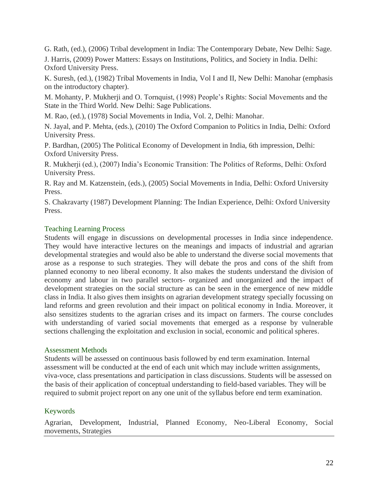G. Rath, (ed.), (2006) Tribal development in India: The Contemporary Debate, New Delhi: Sage. J. Harris, (2009) Power Matters: Essays on Institutions, Politics, and Society in India. Delhi: Oxford University Press.

K. Suresh, (ed.), (1982) Tribal Movements in India, Vol I and II, New Delhi: Manohar (emphasis on the introductory chapter).

M. Mohanty, P. Mukherji and O. Tornquist, (1998) People's Rights: Social Movements and the State in the Third World. New Delhi: Sage Publications.

M. Rao, (ed.), (1978) Social Movements in India, Vol. 2, Delhi: Manohar.

N. Jayal, and P. Mehta, (eds.), (2010) The Oxford Companion to Politics in India, Delhi: Oxford University Press.

P. Bardhan, (2005) The Political Economy of Development in India, 6th impression, Delhi: Oxford University Press.

R. Mukherji (ed.), (2007) India's Economic Transition: The Politics of Reforms, Delhi: Oxford University Press.

R. Ray and M. Katzenstein, (eds.), (2005) Social Movements in India, Delhi: Oxford University Press.

S. Chakravarty (1987) Development Planning: The Indian Experience, Delhi: Oxford University Press.

# Teaching Learning Process

Students will engage in discussions on developmental processes in India since independence. They would have interactive lectures on the meanings and impacts of industrial and agrarian developmental strategies and would also be able to understand the diverse social movements that arose as a response to such strategies. They will debate the pros and cons of the shift from planned economy to neo liberal economy. It also makes the students understand the division of economy and labour in two parallel sectors- organized and unorganized and the impact of development strategies on the social structure as can be seen in the emergence of new middle class in India. It also gives them insights on agrarian development strategy specially focussing on land reforms and green revolution and their impact on political economy in India. Moreover, it also sensitizes students to the agrarian crises and its impact on farmers. The course concludes with understanding of varied social movements that emerged as a response by vulnerable sections challenging the exploitation and exclusion in social, economic and political spheres.

#### Assessment Methods

Students will be assessed on continuous basis followed by end term examination. Internal assessment will be conducted at the end of each unit which may include written assignments, viva-voce, class presentations and participation in class discussions. Students will be assessed on the basis of their application of conceptual understanding to field-based variables. They will be required to submit project report on any one unit of the syllabus before end term examination.

# Keywords

Agrarian, Development, Industrial, Planned Economy, Neo-Liberal Economy, Social movements, Strategies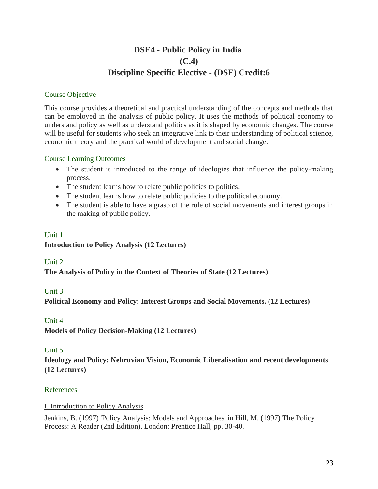# **DSE4 - Public Policy in India (C.4) Discipline Specific Elective - (DSE) Credit:6**

# Course Objective

This course provides a theoretical and practical understanding of the concepts and methods that can be employed in the analysis of public policy. It uses the methods of political economy to understand policy as well as understand politics as it is shaped by economic changes. The course will be useful for students who seek an integrative link to their understanding of political science, economic theory and the practical world of development and social change.

# Course Learning Outcomes

- The student is introduced to the range of ideologies that influence the policy-making process.
- The student learns how to relate public policies to politics.
- The student learns how to relate public policies to the political economy.
- The student is able to have a grasp of the role of social movements and interest groups in the making of public policy.

# Unit 1 **Introduction to Policy Analysis (12 Lectures)**

# Unit 2

**The Analysis of Policy in the Context of Theories of State (12 Lectures)**

# Unit 3

**Political Economy and Policy: Interest Groups and Social Movements. (12 Lectures)**

# Unit 4

**Models of Policy Decision-Making (12 Lectures)**

# Unit 5

**Ideology and Policy: Nehruvian Vision, Economic Liberalisation and recent developments (12 Lectures)**

# References

I. Introduction to Policy Analysis

Jenkins, B. (1997) 'Policy Analysis: Models and Approaches' in Hill, M. (1997) The Policy Process: A Reader (2nd Edition). London: Prentice Hall, pp. 30-40.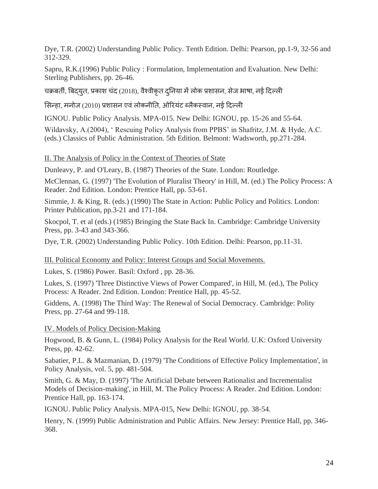Dye, T.R. (2002) Understanding Public Policy. Tenth Edition. Delhi: Pearson, pp.1-9, 32-56 and 312-329.

Sapru, R.K.(1996) Public Policy : Formulation, Implementation and Evaluation. New Delhi: Sterling Publishers, pp. 26-46.

चक्रबर्ती, बिदयुत, प्रकाश चंद (2018), वैश्वीकृत दुनिया में लोक प्रशासन, सेज भाषा, नई दिल्ली

सिन्हा, मनोज (2010) प्रशासन एवं लोकनीति, ओरियंट ब्लैकस्वान, नई दिल्ली

IGNOU. Public Policy Analysis. MPA-015. New Delhi: IGNOU, pp. 15-26 and 55-64.

Wildavsky, A.(2004), ' Rescuing Policy Analysis from PPBS' in Shafritz, J.M. & Hyde, A.C. (eds.) Classics of Public Administration. 5th Edition. Belmont: Wadsworth, pp.271-284.

#### II. The Analysis of Policy in the Context of Theories of State

Dunleavy, P. and O'Leary, B. (1987) Theories of the State. London: Routledge.

McClennan, G. (1997) 'The Evolution of Pluralist Theory' in Hill, M. (ed.) The Policy Process: A Reader. 2nd Edition. London: Prentice Hall, pp. 53-61.

Simmie, J. & King, R. (eds.) (1990) The State in Action: Public Policy and Politics. London: Printer Publication, pp.3-21 and 171-184.

Skocpol, T. et al (eds.) (1985) Bringing the State Back In. Cambridge: Cambridge University Press, pp. 3-43 and 343-366.

Dye, T.R. (2002) Understanding Public Policy. 10th Edition. Delhi: Pearson, pp.11-31.

# III. Political Economy and Policy: Interest Groups and Social Movements.

Lukes, S. (1986) Power. Basil: Oxford , pp. 28-36.

Lukes, S. (1997) 'Three Distinctive Views of Power Compared', in Hill, M. (ed.), The Policy Process: A Reader. 2nd Edition. London: Prentice Hall, pp. 45-52.

Giddens, A. (1998) The Third Way: The Renewal of Social Democracy. Cambridge: Polity Press, pp. 27-64 and 99-118.

# IV. Models of Policy Decision-Making

Hogwood, B. & Gunn, L. (1984) Policy Analysis for the Real World. U.K: Oxford University Press, pp. 42-62.

Sabatier, P.L. & Mazmanian, D. (1979) 'The Conditions of Effective Policy Implementation', in Policy Analysis, vol. 5, pp. 481-504.

Smith, G. & May, D. (1997) 'The Artificial Debate between Rationalist and Incrementalist Models of Decision-making', in Hill, M. The Policy Process: A Reader. 2nd Edition. London: Prentice Hall, pp. 163-174.

IGNOU. Public Policy Analysis. MPA-015, New Delhi: IGNOU, pp. 38-54.

Henry, N. (1999) Public Administration and Public Affairs. New Jersey: Prentice Hall, pp. 346- 368.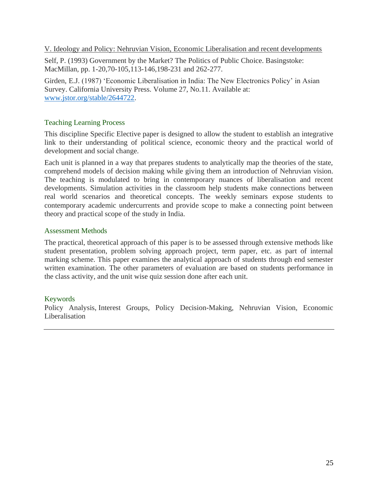V. Ideology and Policy: Nehruvian Vision, Economic Liberalisation and recent developments

Self, P. (1993) Government by the Market? The Politics of Public Choice. Basingstoke: MacMillan, pp. 1-20,70-105,113-146,198-231 and 262-277.

Girden, E.J. (1987) 'Economic Liberalisation in India: The New Electronics Policy' in Asian Survey. California University Press. Volume 27, No.11. Available at: [www.jstor.org/stable/2644722.](http://www.jstor.org/stable/2644722)

#### Teaching Learning Process

This discipline Specific Elective paper is designed to allow the student to establish an integrative link to their understanding of political science, economic theory and the practical world of development and social change.

Each unit is planned in a way that prepares students to analytically map the theories of the state, comprehend models of decision making while giving them an introduction of Nehruvian vision. The teaching is modulated to bring in contemporary nuances of liberalisation and recent developments. Simulation activities in the classroom help students make connections between real world scenarios and theoretical concepts. The weekly seminars expose students to contemporary academic undercurrents and provide scope to make a connecting point between theory and practical scope of the study in India.

#### Assessment Methods

The practical, theoretical approach of this paper is to be assessed through extensive methods like student presentation, problem solving approach project, term paper, etc. as part of internal marking scheme. This paper examines the analytical approach of students through end semester written examination. The other parameters of evaluation are based on students performance in the class activity, and the unit wise quiz session done after each unit.

# Keywords

Policy Analysis, Interest Groups, Policy Decision-Making, Nehruvian Vision, Economic Liberalisation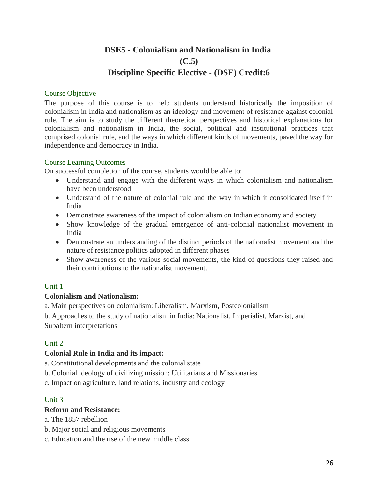# **DSE5 - Colonialism and Nationalism in India (C.5) Discipline Specific Elective - (DSE) Credit:6**

#### Course Objective

The purpose of this course is to help students understand historically the imposition of colonialism in India and nationalism as an ideology and movement of resistance against colonial rule. The aim is to study the different theoretical perspectives and historical explanations for colonialism and nationalism in India, the social, political and institutional practices that comprised colonial rule, and the ways in which different kinds of movements, paved the way for independence and democracy in India.

#### Course Learning Outcomes

On successful completion of the course, students would be able to:

- Understand and engage with the different ways in which colonialism and nationalism have been understood
- Understand of the nature of colonial rule and the way in which it consolidated itself in India
- Demonstrate awareness of the impact of colonialism on Indian economy and society
- Show knowledge of the gradual emergence of anti-colonial nationalist movement in India
- Demonstrate an understanding of the distinct periods of the nationalist movement and the nature of resistance politics adopted in different phases
- Show awareness of the various social movements, the kind of questions they raised and their contributions to the nationalist movement.

# Unit 1

# **Colonialism and Nationalism:**

a. Main perspectives on colonialism: Liberalism, Marxism, Postcolonialism

b. Approaches to the study of nationalism in India: Nationalist, Imperialist, Marxist, and Subaltern interpretations

# Unit 2

# **Colonial Rule in India and its impact:**

a. Constitutional developments and the colonial state

- b. Colonial ideology of civilizing mission: Utilitarians and Missionaries
- c. Impact on agriculture, land relations, industry and ecology

# Unit 3

# **Reform and Resistance:**

a. The 1857 rebellion

- b. Major social and religious movements
- c. Education and the rise of the new middle class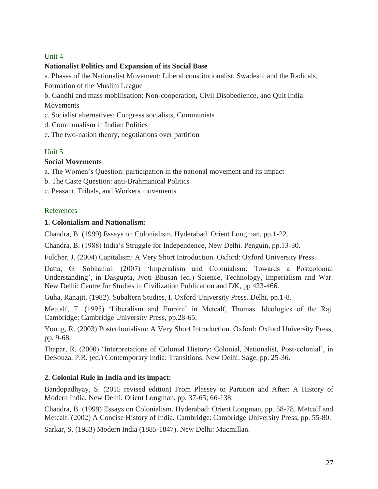# Unit 4

# **Nationalist Politics and Expansion of its Social Base**

a. Phases of the Nationalist Movement: Liberal constitutionalist, Swadeshi and the Radicals, Formation of the Muslim League

b. Gandhi and mass mobilisation: Non-cooperation, Civil Disobedience, and Quit India Movements

- c. Socialist alternatives: Congress socialists, Communists
- d. Communalism in Indian Politics
- e. The two-nation theory, negotiations over partition

# Unit 5

# **Social Movements**

a. The Women's Question: participation in the national movement and its impact

- b. The Caste Question: anti-Brahmanical Politics
- c. Peasant, Tribals, and Workers movements

# References

# **1. Colonialism and Nationalism:**

Chandra, B. (1999) Essays on Colonialism, Hyderabad. Orient Longman, pp.1-22.

Chandra, B. (1988) India's Struggle for Independence, New Delhi. Penguin, pp.13-30.

Fulcher, J. (2004) Capitalism: A Very Short Introduction. Oxford: Oxford University Press.

Datta, G. Sobhanlal. (2007) 'Imperialism and Colonialism: Towards a Postcolonial Understanding', in Dasgupta, Jyoti Bhusan (ed.) Science, Technology, Imperialism and War. New Delhi: Centre for Studies in Civilization Publication and DK, pp 423-466.

Guha, Ranajit. (1982). Subaltern Studies, I. Oxford University Press. Delhi. pp.1-8.

Metcalf, T. (1995) 'Liberalism and Empire' in Metcalf, Thomas. Ideologies of the Raj. Cambridge: Cambridge University Press, pp.28-65.

Young, R. (2003) Postcolonialism: A Very Short Introduction. Oxford: Oxford University Press, pp. 9-68.

Thapar, R. (2000) 'Interpretations of Colonial History: Colonial, Nationalist, Post-colonial', in DeSouza, P.R. (ed.) Contemporary India: Transitions. New Delhi: Sage, pp. 25-36.

# **2. Colonial Rule in India and its impact:**

Bandopadhyay, S. (2015 revised edition) From Plassey to Partition and After: A History of Modern India. New Delhi: Orient Longman, pp. 37-65; 66-138.

Chandra, B. (1999) Essays on Colonialism. Hyderabad: Orient Longman, pp. 58-78. Metcalf and Metcalf. (2002) A Concise History of India. Cambridge: Cambridge University Press, pp. 55-80.

Sarkar, S. (1983) Modern India (1885-1847). New Delhi: Macmillan.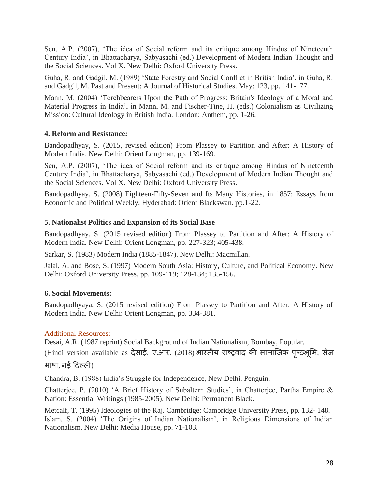Sen, A.P. (2007), 'The idea of Social reform and its critique among Hindus of Nineteenth Century India', in Bhattacharya, Sabyasachi (ed.) Development of Modern Indian Thought and the Social Sciences. Vol X. New Delhi: Oxford University Press.

Guha, R. and Gadgil, M. (1989) 'State Forestry and Social Conflict in British India', in Guha, R. and Gadgil, M. Past and Present: A Journal of Historical Studies. May: 123, pp. 141-177.

Mann, M. (2004) 'Torchbearers Upon the Path of Progress: Britain's Ideology of a Moral and Material Progress in India', in Mann, M. and Fischer-Tine, H. (eds.) Colonialism as Civilizing Mission: Cultural Ideology in British India. London: Anthem, pp. 1-26.

# **4. Reform and Resistance:**

Bandopadhyay, S. (2015, revised edition) From Plassey to Partition and After: A History of Modern India. New Delhi: Orient Longman, pp. 139-169.

Sen, A.P. (2007), 'The idea of Social reform and its critique among Hindus of Nineteenth Century India', in Bhattacharya, Sabyasachi (ed.) Development of Modern Indian Thought and the Social Sciences. Vol X. New Delhi: Oxford University Press.

Bandopadhyay, S. (2008) Eighteen-Fifty-Seven and Its Many Histories, in 1857: Essays from Economic and Political Weekly, Hyderabad: Orient Blackswan. pp.1-22.

# **5. Nationalist Politics and Expansion of its Social Base**

Bandopadhyay, S. (2015 revised edition) From Plassey to Partition and After: A History of Modern India. New Delhi: Orient Longman, pp. 227-323; 405-438.

Sarkar, S. (1983) Modern India (1885-1847). New Delhi: Macmillan.

Jalal, A. and Bose, S. (1997) Modern South Asia: History, Culture, and Political Economy. New Delhi: Oxford University Press, pp. 109-119; 128-134; 135-156.

# **6. Social Movements:**

Bandopadhyaya, S. (2015 revised edition) From Plassey to Partition and After: A History of Modern India. New Delhi: Orient Longman, pp. 334-381.

# Additional Resources:

Desai, A.R. (1987 reprint) Social Background of Indian Nationalism, Bombay, Popular.

(Hindi version available as देसाई, ए.आर. (2018) भारतीय राष्ट्रवाद की सामाजिक पृष्ठभूमि, सेज भाषा, नई ददल्ली)

Chandra, B. (1988) India's Struggle for Independence, New Delhi. Penguin.

Chatterjee, P. (2010) 'A Brief History of Subaltern Studies', in Chatterjee, Partha Empire & Nation: Essential Writings (1985-2005). New Delhi: Permanent Black.

Metcalf, T. (1995) Ideologies of the Raj. Cambridge: Cambridge University Press, pp. 132- 148. Islam, S. (2004) 'The Origins of Indian Nationalism', in Religious Dimensions of Indian Nationalism. New Delhi: Media House, pp. 71-103.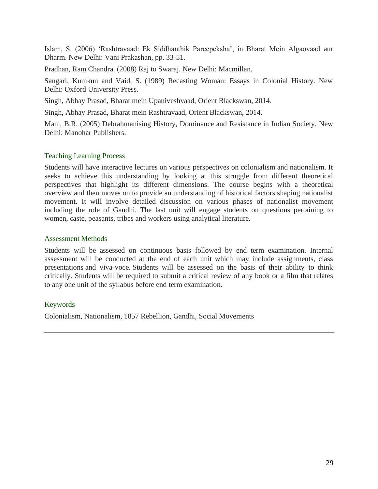Islam, S. (2006) 'Rashtravaad: Ek Siddhanthik Pareepeksha', in Bharat Mein Algaovaad aur Dharm. New Delhi: Vani Prakashan, pp. 33-51.

Pradhan, Ram Chandra. (2008) Raj to Swaraj. New Delhi: Macmillan.

Sangari, Kumkun and Vaid, S. (1989) Recasting Woman: Essays in Colonial History. New Delhi: Oxford University Press.

Singh, Abhay Prasad, Bharat mein Upaniveshvaad, Orient Blackswan, 2014.

Singh, Abhay Prasad, Bharat mein Rashtravaad, Orient Blackswan, 2014.

Mani, B.R. (2005) Debrahmanising History, Dominance and Resistance in Indian Society. New Delhi: Manohar Publishers.

#### Teaching Learning Process

Students will have interactive lectures on various perspectives on colonialism and nationalism. It seeks to achieve this understanding by looking at this struggle from different theoretical perspectives that highlight its different dimensions. The course begins with a theoretical overview and then moves on to provide an understanding of historical factors shaping nationalist movement. It will involve detailed discussion on various phases of nationalist movement including the role of Gandhi. The last unit will engage students on questions pertaining to women, caste, peasants, tribes and workers using analytical literature.

#### Assessment Methods

Students will be assessed on continuous basis followed by end term examination. Internal assessment will be conducted at the end of each unit which may include assignments, class presentations and viva-voce. Students will be assessed on the basis of their ability to think critically. Students will be required to submit a critical review of any book or a film that relates to any one unit of the syllabus before end term examination.

#### Keywords

Colonialism, Nationalism, 1857 Rebellion, Gandhi, Social Movements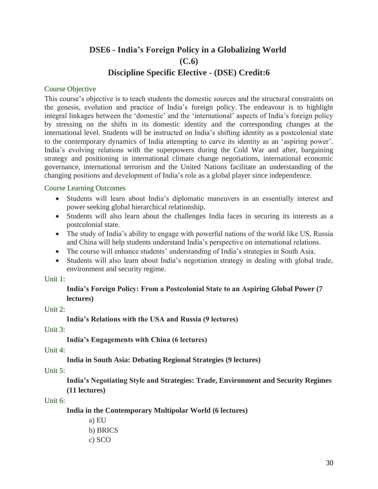# **DSE6 - India's Foreign Policy in a Globalizing World (C.6) Discipline Specific Elective - (DSE) Credit:6**

#### Course Objective

This course's objective is to teach students the domestic sources and the structural constraints on the genesis, evolution and practice of India's foreign policy. The endeavour is to highlight integral linkages between the 'domestic' and the 'international' aspects of India's foreign policy by stressing on the shifts in its domestic identity and the corresponding changes at the international level. Students will be instructed on India's shifting identity as a postcolonial state to the contemporary dynamics of India attempting to carve its identity as an 'aspiring power'. India's evolving relations with the superpowers during the Cold War and after, bargaining strategy and positioning in international climate change negotiations, international economic governance, international terrorism and the United Nations facilitate an understanding of the changing positions and development of India's role as a global player since independence.

#### Course Learning Outcomes

- Students will learn about India's diplomatic maneuvers in an essentially interest and power seeking global hierarchical relationship.
- Students will also learn about the challenges India faces in securing its interests as a postcolonial state.
- The study of India's ability to engage with powerful nations of the world like US, Russia and China will help students understand India's perspective on international relations.
- The course will enhance students' understanding of India's strategies in South Asia.
- Students will also learn about India's negotiation strategy in dealing with global trade, environment and security regime.

#### Unit 1:

**India's Foreign Policy: From a Postcolonial State to an Aspiring Global Power (7 lectures)**

# Unit 2:

**India's Relations with the USA and Russia (9 lectures)**

Unit 3:

**India's Engagements with China (6 lectures)**

# Unit 4:

**India in South Asia: Debating Regional Strategies (9 lectures)**

# Unit 5:

**India's Negotiating Style and Strategies: Trade, Environment and Security Regimes (11 lectures)**

#### Unit 6:

**India in the Contemporary Multipolar World (6 lectures)**

- a) EU b) BRICS
- c) SCO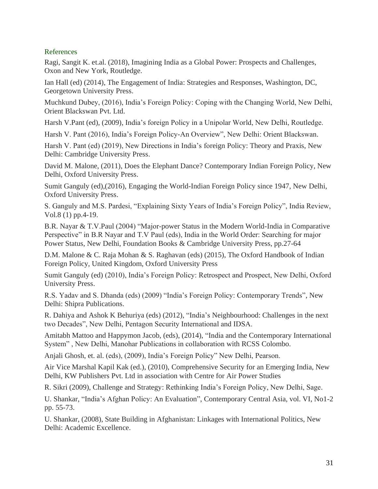#### References

Ragi, Sangit K. et.al. (2018), Imagining India as a Global Power: Prospects and Challenges, Oxon and New York, Routledge.

Ian Hall (ed) (2014), The Engagement of India: Strategies and Responses, Washington, DC, Georgetown University Press.

Muchkund Dubey, (2016), India's Foreign Policy: Coping with the Changing World, New Delhi, Orient Blackswan Pvt. Ltd.

Harsh V.Pant (ed), (2009), India's foreign Policy in a Unipolar World, New Delhi, Routledge.

Harsh V. Pant (2016), India's Foreign Policy-An Overview", New Delhi: Orient Blackswan.

Harsh V. Pant (ed) (2019), New Directions in India's foreign Policy: Theory and Praxis, New Delhi: Cambridge University Press.

David M. Malone, (2011), Does the Elephant Dance? Contemporary Indian Foreign Policy, New Delhi, Oxford University Press.

Sumit Ganguly (ed),(2016), Engaging the World-Indian Foreign Policy since 1947, New Delhi, Oxford University Press.

S. Ganguly and M.S. Pardesi, "Explaining Sixty Years of India's Foreign Policy", India Review, Vol.8 (1) pp.4-19.

B.R. Nayar & T.V.Paul (2004) "Major-power Status in the Modern World-India in Comparative Perspective" in B.R Nayar and T.V Paul (eds), India in the World Order: Searching for major Power Status, New Delhi, Foundation Books & Cambridge University Press, pp.27-64

D.M. Malone & C. Raja Mohan & S. Raghavan (eds) (2015), The Oxford Handbook of Indian Foreign Policy, United Kingdom, Oxford University Press

Sumit Ganguly (ed) (2010), India's Foreign Policy: Retrospect and Prospect, New Delhi, Oxford University Press.

R.S. Yadav and S. Dhanda (eds) (2009) "India's Foreign Policy: Contemporary Trends", New Delhi: Shipra Publications.

R. Dahiya and Ashok K Behuriya (eds) (2012), "India's Neighbourhood: Challenges in the next two Decades", New Delhi, Pentagon Security International and IDSA.

Amitabh Mattoo and Happymon Jacob, (eds), (2014), "India and the Contemporary International System" , New Delhi, Manohar Publications in collaboration with RCSS Colombo.

Anjali Ghosh, et. al. (eds), (2009), India's Foreign Policy" New Delhi, Pearson.

Air Vice Marshal Kapil Kak (ed.), (2010), Comprehensive Security for an Emerging India, New Delhi, KW Publishers Pvt. Ltd in association with Centre for Air Power Studies

R. Sikri (2009), Challenge and Strategy: Rethinking India's Foreign Policy, New Delhi, Sage.

U. Shankar, "India's Afghan Policy: An Evaluation", Contemporary Central Asia, vol. VI, No1-2 pp. 55-73.

U. Shankar, (2008), State Building in Afghanistan: Linkages with International Politics, New Delhi: Academic Excellence.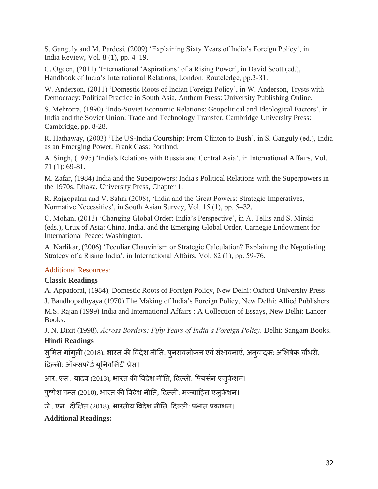S. Ganguly and M. Pardesi, (2009) 'Explaining Sixty Years of India's Foreign Policy', in India Review, Vol. 8 (1), pp. 4–19.

C. Ogden, (2011) 'International 'Aspirations' of a Rising Power', in David Scott (ed.), Handbook of India's International Relations, London: Routeledge, pp.3-31.

W. Anderson, (2011) 'Domestic Roots of Indian Foreign Policy', in W. Anderson, Trysts with Democracy: Political Practice in South Asia, Anthem Press: University Publishing Online.

S. Mehrotra, (1990) 'Indo-Soviet Economic Relations: Geopolitical and Ideological Factors', in India and the Soviet Union: Trade and Technology Transfer, Cambridge University Press: Cambridge, pp. 8-28.

R. Hathaway, (2003) 'The US-India Courtship: From Clinton to Bush', in S. Ganguly (ed.), India as an Emerging Power, Frank Cass: Portland.

A. Singh, (1995) 'India's Relations with Russia and Central Asia', in International Affairs, Vol. 71 (1): 69-81.

M. Zafar, (1984) India and the Superpowers: India's Political Relations with the Superpowers in the 1970s, Dhaka, University Press, Chapter 1.

R. Rajgopalan and V. Sahni (2008), 'India and the Great Powers: Strategic Imperatives, Normative Necessities', in South Asian Survey, Vol. 15 (1), pp. 5–32.

C. Mohan, (2013) 'Changing Global Order: India's Perspective', in A. Tellis and S. Mirski (eds.), Crux of Asia: China, India, and the Emerging Global Order, Carnegie Endowment for International Peace: Washington.

A. Narlikar, (2006) 'Peculiar Chauvinism or Strategic Calculation? Explaining the Negotiating Strategy of a Rising India', in International Affairs, Vol. 82 (1), pp. 59-76.

# Additional Resources:

# **Classic Readings**

A. Appadorai, (1984), Domestic Roots of Foreign Policy, New Delhi: Oxford University Press J. Bandhopadhyaya (1970) The Making of India's Foreign Policy, New Delhi: Allied Publishers

M.S. Rajan (1999) India and International Affairs : A Collection of Essays, New Delhi: Lancer Books.

J. N. Dixit (1998), *Across Borders: Fifty Years of India's Foreign Policy,* Delhi: Sangam Books. **Hindi Readings**

सुमित गांगुली (2018), भारत की विदेश नीति: पुनरावलोकन एवं संभावनाएं, अनुवादक: अभिषेक चौधरी, दिल्ली: ऑक्सफोर्ड यूनिवर्सिटी प्रेस।

आर. एस . यादव (2013), भारत की विदेश नीति, दिल्ली: पियर्सन एजुकेशन।

पुष्पेश पन्त (2010), भारत की विदेश नीति, दिल्ली: मक्ग्राहिल एजुकेशन।

जे. एन. दीक्षित (2018), भारतीय विदेश नीति, दिल्ली: प्रभात प्रकाशन।

**Additional Readings:**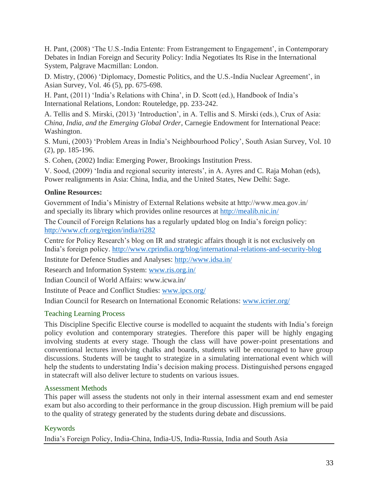H. Pant, (2008) 'The U.S.-India Entente: From Estrangement to Engagement', in Contemporary Debates in Indian Foreign and Security Policy: India Negotiates Its Rise in the International System, Palgrave Macmillan: London.

D. Mistry, (2006) 'Diplomacy, Domestic Politics, and the U.S.-India Nuclear Agreement', in Asian Survey, Vol. 46 (5), pp. 675-698.

H. Pant, (2011) 'India's Relations with China', in D. Scott (ed.), Handbook of India's International Relations, London: Routeledge, pp. 233-242.

A. Tellis and S. Mirski, (2013) 'Introduction', in A. Tellis and S. Mirski (eds.), Crux of Asia: *China, India, and the Emerging Global Order*, Carnegie Endowment for International Peace: Washington.

S. Muni, (2003) 'Problem Areas in India's Neighbourhood Policy', South Asian Survey, Vol. 10 (2), pp. 185-196.

S. Cohen, (2002) India: Emerging Power, Brookings Institution Press.

V. Sood, (2009) 'India and regional security interests', in A. Ayres and C. Raja Mohan (eds), Power realignments in Asia: China, India, and the United States, New Delhi: Sage.

# **Online Resources:**

Government of India's Ministry of External Relations website at http://www.mea.gov.in/ and specially its library which provides online resources at<http://mealib.nic.in/>

The Council of Foreign Relations has a regularly updated blog on India's foreign policy: <http://www.cfr.org/region/india/ri282>

Centre for Policy Research's blog on IR and strategic affairs though it is not exclusively on India's foreign policy. <http://www.cprindia.org/blog/international-relations-and-security-blog>

Institute for Defence Studies and Analyses:<http://www.idsa.in/>

Research and Information System: [www.ris.org.in/](http://www.ris.org.in/)

Indian Council of World Affairs: www.icwa.in/

Institute of Peace and Conflict Studies: [www.ipcs.org/](http://www.ipcs.org/)

Indian Council for Research on International Economic Relations: [www.icrier.org/](http://www.icrier.org/)

# Teaching Learning Process

This Discipline Specific Elective course is modelled to acquaint the students with India's foreign policy evolution and contemporary strategies. Therefore this paper will be highly engaging involving students at every stage. Though the class will have power-point presentations and conventional lectures involving chalks and boards, students will be encouraged to have group discussions. Students will be taught to strategize in a simulating international event which will help the students to understating India's decision making process. Distinguished persons engaged in statecraft will also deliver lecture to students on various issues.

# Assessment Methods

This paper will assess the students not only in their internal assessment exam and end semester exam but also according to their performance in the group discussion. High premium will be paid to the quality of strategy generated by the students during debate and discussions.

# Keywords

India's Foreign Policy, India-China, India-US, India-Russia, India and South Asia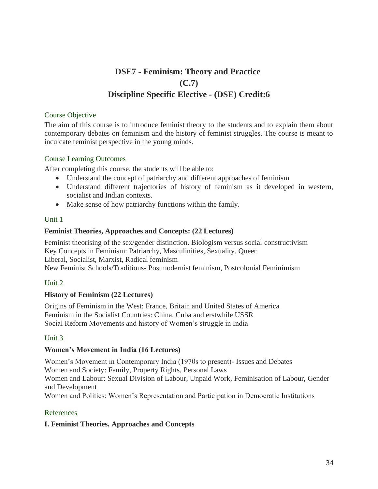# **DSE7 - Feminism: Theory and Practice (C.7) Discipline Specific Elective - (DSE) Credit:6**

#### Course Objective

The aim of this course is to introduce feminist theory to the students and to explain them about contemporary debates on feminism and the history of feminist struggles. The course is meant to inculcate feminist perspective in the young minds.

#### Course Learning Outcomes

After completing this course, the students will be able to:

- Understand the concept of patriarchy and different approaches of feminism
- Understand different trajectories of history of feminism as it developed in western, socialist and Indian contexts.
- Make sense of how patriarchy functions within the family.

# Unit 1

# **Feminist Theories, Approaches and Concepts: (22 Lectures)**

Feminist theorising of the sex/gender distinction. Biologism versus social constructivism Key Concepts in Feminism: Patriarchy, Masculinities, Sexuality, Queer Liberal, Socialist, Marxist, Radical feminism New Feminist Schools/Traditions- Postmodernist feminism, Postcolonial Feminimism

# Unit 2

# **History of Feminism (22 Lectures)**

Origins of Feminism in the West: France, Britain and United States of America Feminism in the Socialist Countries: China, Cuba and erstwhile USSR Social Reform Movements and history of Women's struggle in India

# Unit 3

# **Women's Movement in India (16 Lectures)**

Women's Movement in Contemporary India (1970s to present)- Issues and Debates Women and Society: Family, Property Rights, Personal Laws Women and Labour: Sexual Division of Labour, Unpaid Work, Feminisation of Labour, Gender and Development Women and Politics: Women's Representation and Participation in Democratic Institutions

# References

# **I. Feminist Theories, Approaches and Concepts**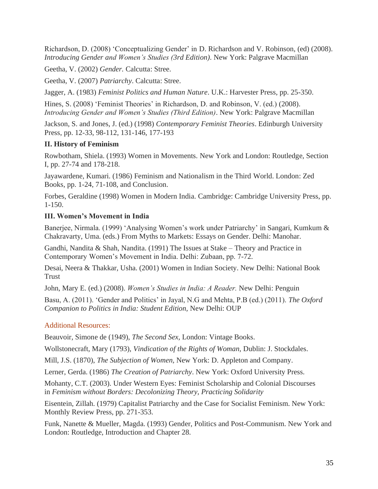Richardson, D. (2008) 'Conceptualizing Gender' in D. Richardson and V. Robinson, (ed) (2008). *Introducing Gender and Women's Studies (3rd Edition)*. New York: Palgrave Macmillan

Geetha, V. (2002) *Gender.* Calcutta: Stree.

Geetha, V. (2007) *Patriarchy*. Calcutta: Stree.

Jagger, A. (1983) *Feminist Politics and Human Nature*. U.K.: Harvester Press, pp. 25-350.

Hines, S. (2008) 'Feminist Theories' in Richardson, D. and Robinson, V. (ed.) (2008). *Introducing Gender and Women's Studies (Third Edition)*. New York: Palgrave Macmillan

Jackson, S. and Jones, J. (ed.) (1998) *Contemporary Feminist Theories*. Edinburgh University Press, pp. 12-33, 98-112, 131-146, 177-193

# **II. History of Feminism**

Rowbotham, Shiela. (1993) Women in Movements. New York and London: Routledge, Section I, pp. 27-74 and 178-218.

Jayawardene, Kumari. (1986) Feminism and Nationalism in the Third World. London: Zed Books, pp. 1-24, 71-108, and Conclusion.

Forbes, Geraldine (1998) Women in Modern India. Cambridge: Cambridge University Press, pp. 1-150.

# **III. Women's Movement in India**

Banerjee, Nirmala. (1999) 'Analysing Women's work under Patriarchy' in Sangari, Kumkum & Chakravarty, Uma. (eds.) From Myths to Markets: Essays on Gender. Delhi: Manohar.

Gandhi, Nandita & Shah, Nandita. (1991) The Issues at Stake – Theory and Practice in Contemporary Women's Movement in India. Delhi: Zubaan, pp. 7-72.

Desai, Neera & Thakkar, Usha. (2001) Women in Indian Society. New Delhi: National Book Trust

John, Mary E. (ed.) (2008). *Women's Studies in India: A Reader.* New Delhi: Penguin

Basu, A. (2011). 'Gender and Politics' in Jayal, N.G and Mehta, P.B (ed.) (2011). *The Oxford Companion to Politics in India: Student Edition,* New Delhi: OUP

# Additional Resources:

Beauvoir, Simone de (1949), *The Second Sex,* London: Vintage Books.

Wollstonecraft, Mary (1793), *Vindication of the Rights of Woman,* Dublin: J. Stockdales.

Mill, J.S. (1870), *The Subjection of Women,* New York: D. Appleton and Company.

Lerner, Gerda. (1986) *The Creation of Patriarchy*. New York: Oxford University Press.

Mohanty, C.T. (2003). Under Western Eyes: Feminist Scholarship and Colonial Discourses in *Feminism without Borders: Decolonizing Theory, Practicing Solidarity*

Eisentein, Zillah. (1979) Capitalist Patriarchy and the Case for Socialist Feminism. New York: Monthly Review Press, pp. 271-353.

Funk, Nanette & Mueller, Magda. (1993) Gender, Politics and Post-Communism. New York and London: Routledge, Introduction and Chapter 28.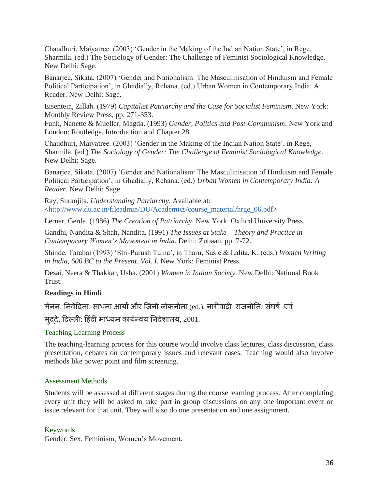Chaudhuri, Maiyatree. (2003) 'Gender in the Making of the Indian Nation State', in Rege, Sharmila. (ed.) The Sociology of Gender: The Challenge of Feminist Sociological Knowledge. New Delhi: Sage.

Banarjee, Sikata. (2007) 'Gender and Nationalism: The Masculinisation of Hinduism and Female Political Participation', in Ghadially, Rehana. (ed.) Urban Women in Contemporary India: A Reader. New Delhi: Sage.

Eisentein, Zillah. (1979) *Capitalist Patriarchy and the Case for Socialist Feminism*. New York: Monthly Review Press, pp. 271-353.

Funk, Nanette & Mueller, Magda. (1993) *Gender, Politics and Post-Communism*. New York and London: Routledge, Introduction and Chapter 28.

Chaudhuri, Maiyatree. (2003) 'Gender in the Making of the Indian Nation State', in Rege, Sharmila. (ed.) *The Sociology of Gender: The Challenge of Feminist Sociological Knowledge*. New Delhi: Sage.

Banarjee, Sikata. (2007) 'Gender and Nationalism: The Masculinisation of Hinduism and Female Political Participation', in Ghadially, Rehana. (ed.) *Urban Women in Contemporary India: A Reader*. New Delhi: Sage.

Ray, Suranjita. *Understanding Patriarchy*. Available at: <http://www.du.ac.in/fileadmin/DU/Academics/course\_material/hrge\_06.pdf>

Lerner, Gerda. (1986) *The Creation of Patriarchy*. New York: Oxford University Press.

Gandhi, Nandita & Shah, Nandita. (1991) *The Issues at Stake – Theory and Practice in Contemporary Women's Movement in India*. Delhi: Zubaan, pp. 7-72.

Shinde, Tarabai (1993) 'Stri-Purush Tulna', in Tharu, Susie & Lalita, K. (eds.) *Women Writing in India, 600 BC to the Present. Vol. I.* New York: Feminist Press.

Desai, Neera & Thakkar, Usha. (2001) *Women in Indian Society*. New Delhi: National Book Trust.

# **Readings in Hindi**

मेनन, निवेदिता, साधना आर्या और जिनी लोकनीता (ed.), नारीवादी राजनीति: संघर्ष एवं

मुददे*,* ददल्ली: दहिंदी माध्यम कायशन्वय तनदेर्ालय, 2001.

#### Teaching Learning Process

The teaching-learning process for this course would involve class lectures, class discussion, class presentation, debates on contemporary issues and relevant cases. Teaching would also involve methods like power point and film screening.

#### Assessment Methods

Students will be assessed at different stages during the course learning process. After completing every unit they will be asked to take part in group discussions on any one important event or issue relevant for that unit. They will also do one presentation and one assignment.

#### Keywords

Gender, Sex, Feminism, Women's Movement.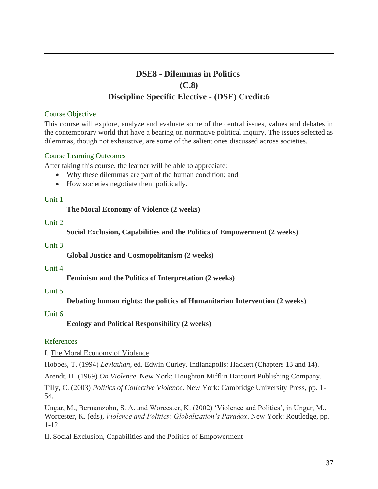# **DSE8 - Dilemmas in Politics (C.8) Discipline Specific Elective - (DSE) Credit:6**

#### Course Objective

This course will explore, analyze and evaluate some of the central issues, values and debates in the contemporary world that have a bearing on normative political inquiry. The issues selected as dilemmas, though not exhaustive, are some of the salient ones discussed across societies.

#### Course Learning Outcomes

After taking this course, the learner will be able to appreciate:

- Why these dilemmas are part of the human condition; and
- How societies negotiate them politically.

#### Unit 1

# **The Moral Economy of Violence (2 weeks)**

#### Unit 2

**Social Exclusion, Capabilities and the Politics of Empowerment (2 weeks)**

#### Unit 3

**Global Justice and Cosmopolitanism (2 weeks)**

#### Unit 4

**Feminism and the Politics of Interpretation (2 weeks)**

# Unit 5

**Debating human rights: the politics of Humanitarian Intervention (2 weeks)**

# Unit 6

**Ecology and Political Responsibility (2 weeks)**

# References

I. The Moral Economy of Violence

Hobbes, T. (1994) *Leviathan*, ed. Edwin Curley. Indianapolis: Hackett (Chapters 13 and 14).

Arendt, H. (1969) *On Violence*. New York: Houghton Mifflin Harcourt Publishing Company.

Tilly, C. (2003) *Politics of Collective Violence*. New York: Cambridge University Press, pp. 1- 54.

Ungar, M., Bermanzohn, S. A. and Worcester, K. (2002) 'Violence and Politics', in Ungar, M., Worcester, K. (eds), *Violence and Politics: Globalization's Paradox*. New York: Routledge, pp. 1-12.

II. Social Exclusion, Capabilities and the Politics of Empowerment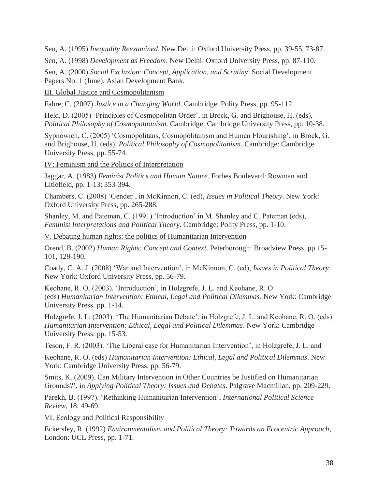Sen, A. (1995) *Inequality Reexamined*. New Delhi: Oxford University Press, pp. 39-55, 73-87.

Sen, A. (1998) *Development as Freedom*. New Delhi: Oxford University Press, pp. 87-110.

Sen, A. (2000) *Social Exclusion: Concept, Application, and Scrutiny*. Social Development Papers No. 1 (June), Asian Development Bank.

III. Global Justice and Cosmopolitanism

Fabre, C. (2007) *Justice in a Changing World*. Cambridge: Polity Press, pp. 95-112.

Held, D. (2005) 'Principles of Cosmopolitan Order', in Brock, G. and Brighouse, H. (eds), *Political Philosophy of Cosmopolitanism*. Cambridge: Cambridge University Press, pp. 10-38.

Sypnowich, C. (2005) 'Cosmopolitans, Cosmopolitanism and Human Flourishing', in Brock, G. and Brighouse, H. (eds), *Political Philosophy of Cosmopolitanism*. Cambridge: Cambridge University Press, pp. 55-74.

IV: Feminism and the Politics of Interpretation

Jaggar, A. (1983) *Feminist Politics and Human Nature*. Forbes Boulevard: Rowman and Litlefield, pp. 1-13; 353-394.

Chambers, C. (2008) 'Gender', in McKinnon, C. (ed), *Issues in Political Theory*. New York: Oxford University Press, pp. 265-288.

Shanley, M. and Pateman, C. (1991) 'Introduction' in M. Shanley and C. Pateman (eds), *Feminist Interpretations and Political Theory*. Cambridge: Polity Press, pp. 1-10.

V. Debating human rights: the politics of Humanitarian Intervention

Orend, B. (2002) *Human Rights: Concept and Context*. Peterborough: Broadview Press, pp.15- 101, 129-190.

Coady, C. A. J. (2008) 'War and Intervention', in McKinnon, C. (ed), *Issues in Political Theory*. New York: Oxford University Press, pp. 56-79.

Keohane, R. O. (2003). 'Introduction', in Holzgrefe, J. L. and Keohane, R. O. (eds) *Humanitarian Intervention: Ethical, Legal and Political Dilemmas*. New York: Cambridge University Press. pp. 1-14.

Holzgrefe, J. L. (2003). 'The Humanitarian Debate', in Holzgrefe, J. L. and Keohane, R. O. (eds) *Humanitarian Intervention: Ethical, Legal and Political Dilemmas*. New York: Cambridge University Press. pp. 15-53.

Teson, F. R. (2003). 'The Liberal case for Humanitarian Intervention', in Holzgrefe, J. L. and

Keohane, R. O. (eds) *Humanitarian Intervention: Ethical, Legal and Political Dilemmas*. New York: Cambridge University Press. pp. 56-79.

Smits, K. (2009). Can Military Intervention in Other Countries be Justified on Humanitarian Grounds?', in *Applying Political Theory: Issues and Debates*. Palgrave Macmillan, pp. 209-229.

Parekh, B. (1997). 'Rethinking Humanitarian Intervention', *International Political Science Review,* 18: 49-69.

VI. Ecology and Political Responsibility

Eckersley, R. (1992) *Environmentalism and Political Theory: Towards an Ecocentric Approach*, London: UCL Press, pp. 1-71.